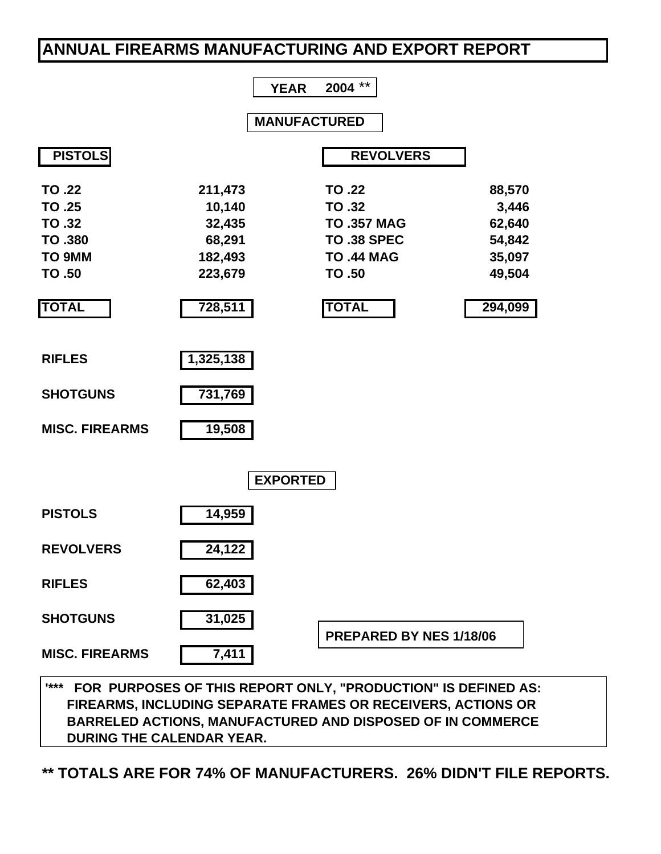# **ANNUAL FIREARMS MANUFACTURING AND EXPORT REPORT**

|                                                                                  |                                                                        | $***$<br>2004<br><b>YEAR</b>                                                                                      |                                                                    |
|----------------------------------------------------------------------------------|------------------------------------------------------------------------|-------------------------------------------------------------------------------------------------------------------|--------------------------------------------------------------------|
|                                                                                  |                                                                        | <b>MANUFACTURED</b>                                                                                               |                                                                    |
| <b>PISTOLS</b>                                                                   |                                                                        | <b>REVOLVERS</b>                                                                                                  |                                                                    |
| TO .22<br>TO .25<br>TO .32<br><b>TO .380</b><br>TO 9MM<br>TO .50<br><b>TOTAL</b> | 211,473<br>10,140<br>32,435<br>68,291<br>182,493<br>223,679<br>728,511 | TO .22<br><b>TO.32</b><br><b>TO .357 MAG</b><br><b>TO .38 SPEC</b><br><b>TO .44 MAG</b><br>TO .50<br><b>TOTAL</b> | 88,570<br>3,446<br>62,640<br>54,842<br>35,097<br>49,504<br>294,099 |
| <b>RIFLES</b><br><b>SHOTGUNS</b><br><b>MISC. FIREARMS</b>                        | 1,325,138<br>731,769<br>19,508                                         |                                                                                                                   |                                                                    |
|                                                                                  |                                                                        | <b>EXPORTED</b>                                                                                                   |                                                                    |
| <b>PISTOLS</b>                                                                   | 14,959                                                                 |                                                                                                                   |                                                                    |
| <b>REVOLVERS</b>                                                                 | 24,122                                                                 |                                                                                                                   |                                                                    |
| <b>RIFLES</b>                                                                    | 62,403                                                                 |                                                                                                                   |                                                                    |
| <b>SHOTGUNS</b>                                                                  | 31,025                                                                 | PREPARED BY NES 1/18/06                                                                                           |                                                                    |
| <b>MISC. FIREARMS</b>                                                            | 7,411                                                                  |                                                                                                                   |                                                                    |

 **'\*\*\* FOR PURPOSES OF THIS REPORT ONLY, "PRODUCTION" IS DEFINED AS: FIREARMS, INCLUDING SEPARATE FRAMES OR RECEIVERS, ACTIONS OR BARRELED ACTIONS, MANUFACTURED AND DISPOSED OF IN COMMERCE DURING THE CALENDAR YEAR.**

**\*\* TOTALS ARE FOR 74% OF MANUFACTURERS. 26% DIDN'T FILE REPORTS.**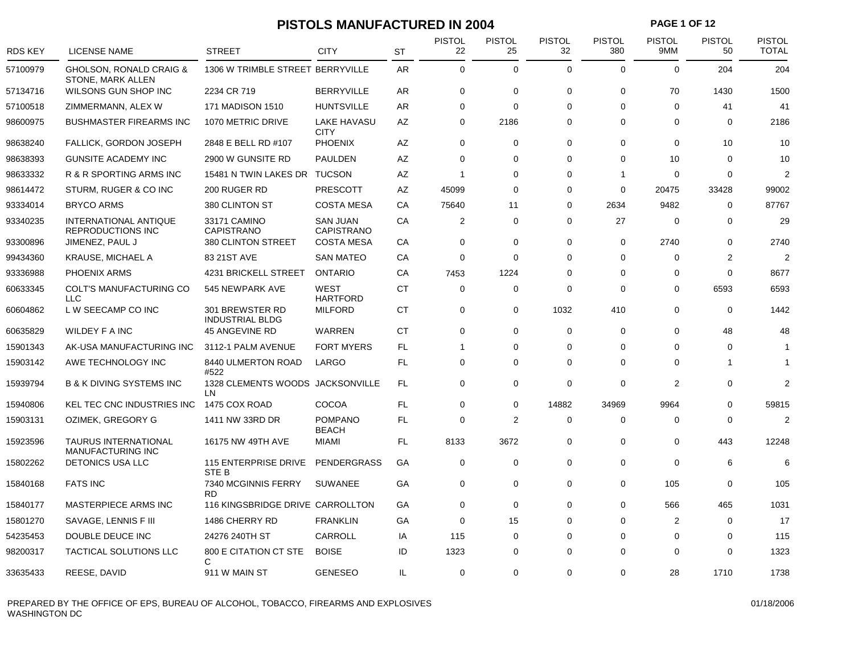### **PISTOLS MANUFACTURED IN 2004 PAGE 1 OF 12**

| <b>RDS KEY</b> | <b>LICENSE NAME</b>                                     | <b>STREET</b>                             | <b>CITY</b>                    | <b>ST</b> | <b>PISTOL</b><br>22 | <b>PISTOL</b><br>25 | <b>PISTOL</b><br>32 | <b>PISTOL</b><br>380 | <b>PISTOL</b><br>9MM | <b>PISTOL</b><br>50 | <b>PISTOL</b><br><b>TOTAL</b> |
|----------------|---------------------------------------------------------|-------------------------------------------|--------------------------------|-----------|---------------------|---------------------|---------------------|----------------------|----------------------|---------------------|-------------------------------|
| 57100979       | GHOLSON, RONALD CRAIG &<br>STONE, MARK ALLEN            | 1306 W TRIMBLE STREET BERRYVILLE          |                                | AR        | $\mathbf 0$         | $\mathbf 0$         | $\mathbf 0$         | $\mathbf 0$          | $\Omega$             | 204                 | 204                           |
| 57134716       | WILSONS GUN SHOP INC                                    | 2234 CR 719                               | <b>BERRYVILLE</b>              | AR.       | $\mathbf 0$         | $\mathbf 0$         | $\mathbf 0$         | $\mathbf 0$          | 70                   | 1430                | 1500                          |
| 57100518       | ZIMMERMANN, ALEX W                                      | 171 MADISON 1510                          | <b>HUNTSVILLE</b>              | AR        | 0                   | $\mathbf 0$         | $\Omega$            | $\mathbf 0$          | $\mathbf 0$          | 41                  | 41                            |
| 98600975       | <b>BUSHMASTER FIREARMS INC</b>                          | 1070 METRIC DRIVE                         | LAKE HAVASU<br><b>CITY</b>     | AZ        | 0                   | 2186                | $\Omega$            | $\mathbf 0$          | $\Omega$             | 0                   | 2186                          |
| 98638240       | <b>FALLICK, GORDON JOSEPH</b>                           | 2848 E BELL RD #107                       | <b>PHOENIX</b>                 | AZ        | $\mathbf 0$         | $\mathbf 0$         | $\mathbf 0$         | $\mathbf 0$          | $\mathbf 0$          | 10                  | 10                            |
| 98638393       | GUNSITE ACADEMY INC                                     | 2900 W GUNSITE RD                         | <b>PAULDEN</b>                 | AZ        | 0                   | 0                   | $\Omega$            | $\mathbf 0$          | 10                   | $\Omega$            | 10                            |
| 98633332       | R & R SPORTING ARMS INC                                 | 15481 N TWIN LAKES DR                     | <b>TUCSON</b>                  | AZ        | $\overline{1}$      | 0                   | 0                   | -1                   | 0                    | 0                   | 2                             |
| 98614472       | STURM, RUGER & CO INC                                   | 200 RUGER RD                              | <b>PRESCOTT</b>                | AZ        | 45099               | $\Omega$            | $\Omega$            | $\mathbf 0$          | 20475                | 33428               | 99002                         |
| 93334014       | <b>BRYCO ARMS</b>                                       | 380 CLINTON ST                            | <b>COSTA MESA</b>              | СA        | 75640               | 11                  | $\Omega$            | 2634                 | 9482                 | 0                   | 87767                         |
| 93340235       | INTERNATIONAL ANTIQUE<br><b>REPRODUCTIONS INC</b>       | 33171 CAMINO<br><b>CAPISTRANO</b>         | <b>SAN JUAN</b><br>CAPISTRANO  | CA        | 2                   | $\mathbf 0$         | $\Omega$            | 27                   | $\mathbf 0$          | 0                   | 29                            |
| 93300896       | JIMENEZ, PAUL J                                         | 380 CLINTON STREET                        | <b>COSTA MESA</b>              | CA        | $\mathbf 0$         | 0                   | $\mathbf 0$         | $\mathbf 0$          | 2740                 | 0                   | 2740                          |
| 99434360       | <b>KRAUSE, MICHAEL A</b>                                | 83 21ST AVE                               | <b>SAN MATEO</b>               | CA        | $\mathbf 0$         | $\mathbf 0$         | $\Omega$            | $\mathbf 0$          | $\mathbf 0$          | $\overline{2}$      | $\overline{2}$                |
| 93336988       | <b>PHOENIX ARMS</b>                                     | 4231 BRICKELL STREET                      | <b>ONTARIO</b>                 | CA        | 7453                | 1224                | $\Omega$            | $\mathbf 0$          | $\Omega$             | $\Omega$            | 8677                          |
| 60633345       | COLT'S MANUFACTURING CO<br><b>LLC</b>                   | 545 NEWPARK AVE                           | <b>WEST</b><br><b>HARTFORD</b> | <b>CT</b> | 0                   | 0                   | $\Omega$            | $\mathbf 0$          | 0                    | 6593                | 6593                          |
| 60604862       | L W SEECAMP CO INC                                      | 301 BREWSTER RD<br><b>INDUSTRIAL BLDG</b> | <b>MILFORD</b>                 | СT        | 0                   | 0                   | 1032                | 410                  | $\mathbf 0$          | 0                   | 1442                          |
| 60635829       | <b>WILDEY F A INC</b>                                   | <b>45 ANGEVINE RD</b>                     | WARREN                         | <b>CT</b> | $\mathbf 0$         | $\mathbf 0$         | $\Omega$            | $\mathbf 0$          | $\mathbf 0$          | 48                  | 48                            |
| 15901343       | AK-USA MANUFACTURING INC                                | 3112-1 PALM AVENUE                        | <b>FORT MYERS</b>              | FL        | 1                   | 0                   | $\Omega$            | $\mathbf 0$          | $\Omega$             | $\Omega$            | -1                            |
| 15903142       | AWE TECHNOLOGY INC                                      | 8440 ULMERTON ROAD<br>#522                | LARGO                          | FL        | $\mathbf 0$         | 0                   | 0                   | $\mathbf 0$          | 0                    | 1                   | -1                            |
| 15939794       | <b>B &amp; K DIVING SYSTEMS INC</b>                     | 1328 CLEMENTS WOODS JACKSONVILLE<br>LN    |                                | <b>FL</b> | $\mathbf 0$         | $\mathbf 0$         | $\mathbf 0$         | $\mathbf 0$          | $\overline{2}$       | 0                   | $\overline{2}$                |
| 15940806       | KEL TEC CNC INDUSTRIES INC                              | 1475 COX ROAD                             | COCOA                          | <b>FL</b> | $\mathbf 0$         | $\mathbf 0$         | 14882               | 34969                | 9964                 | 0                   | 59815                         |
| 15903131       | OZIMEK, GREGORY G                                       | 1411 NW 33RD DR                           | <b>POMPANO</b><br><b>BEACH</b> | <b>FL</b> | $\mathbf 0$         | $\overline{2}$      | $\mathbf 0$         | $\mathbf 0$          | $\Omega$             | $\Omega$            | $\mathcal{P}$                 |
| 15923596       | <b>TAURUS INTERNATIONAL</b><br><b>MANUFACTURING INC</b> | 16175 NW 49TH AVE                         | <b>MIAMI</b>                   | FL        | 8133                | 3672                | $\mathbf 0$         | 0                    | $\mathbf 0$          | 443                 | 12248                         |
| 15802262       | <b>DETONICS USA LLC</b>                                 | <b>115 ENTERPRISE DRIVE</b><br>STE B      | <b>PENDERGRASS</b>             | GA        | 0                   | $\mathbf 0$         | $\mathbf 0$         | $\mathbf 0$          | $\mathbf 0$          | 6                   | 6                             |
| 15840168       | <b>FATS INC</b>                                         | 7340 MCGINNIS FERRY<br><b>RD</b>          | <b>SUWANEE</b>                 | GA        | 0                   | 0                   | $\Omega$            | 0                    | 105                  | $\Omega$            | 105                           |
| 15840177       | MASTERPIECE ARMS INC                                    | 116 KINGSBRIDGE DRIVE CARROLLTON          |                                | GA        | 0                   | 0                   | $\Omega$            | $\mathbf 0$          | 566                  | 465                 | 1031                          |
| 15801270       | SAVAGE, LENNIS F III                                    | 1486 CHERRY RD                            | <b>FRANKLIN</b>                | GА        | $\Omega$            | 15                  | $\Omega$            | $\mathbf 0$          | $\overline{2}$       | $\Omega$            | 17                            |
| 54235453       | DOUBLE DEUCE INC                                        | 24276 240TH ST                            | CARROLL                        | IA        | 115                 | 0                   | 0                   | $\mathbf 0$          | 0                    | 0                   | 115                           |
| 98200317       | TACTICAL SOLUTIONS LLC                                  | 800 E CITATION CT STE<br>C                | <b>BOISE</b>                   | ID        | 1323                | 0                   | $\Omega$            | $\mathbf 0$          | $\Omega$             | $\Omega$            | 1323                          |
| 33635433       | REESE, DAVID                                            | 911 W MAIN ST                             | <b>GENESEO</b>                 | IL.       | 0                   | 0                   | $\Omega$            | 0                    | 28                   | 1710                | 1738                          |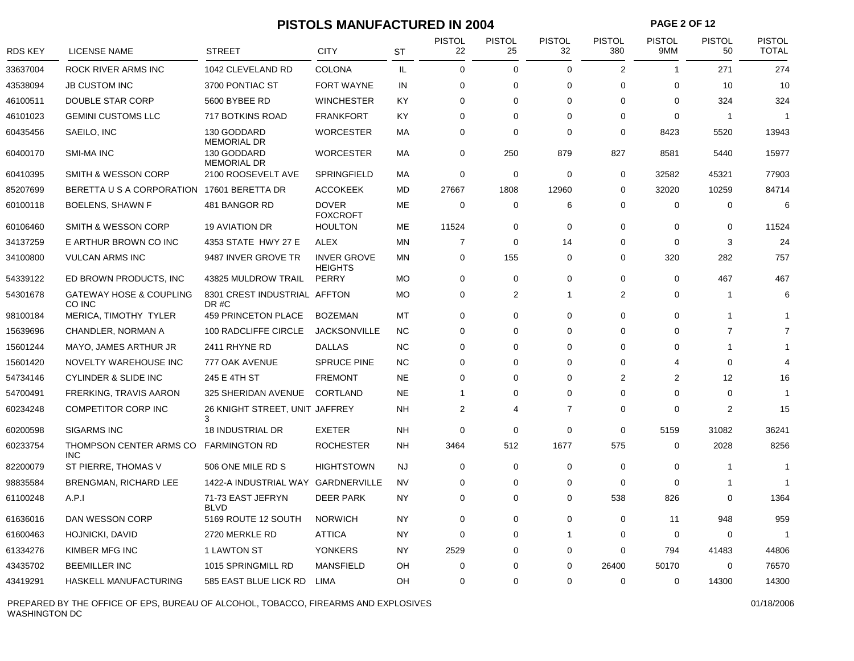### **PISTOLS MANUFACTURED IN 2004 PAGE 2 OF 12**

| RDS KEY  | <b>LICENSE NAME</b>                          | <b>STREET</b>                        | <b>CITY</b>                          | ST        | <b>PISTOL</b><br>22 | <b>PISTOL</b><br>25 | <b>PISTOL</b><br>32 | <b>PISTOL</b><br>380 | <b>PISTOL</b><br>9MM | <b>PISTOL</b><br>50 | <b>PISTOL</b><br><b>TOTAL</b> |
|----------|----------------------------------------------|--------------------------------------|--------------------------------------|-----------|---------------------|---------------------|---------------------|----------------------|----------------------|---------------------|-------------------------------|
| 33637004 | ROCK RIVER ARMS INC                          | 1042 CLEVELAND RD                    | <b>COLONA</b>                        | IL        | $\mathbf 0$         | 0                   | $\mathbf 0$         | 2                    | $\overline{1}$       | 271                 | 274                           |
| 43538094 | <b>JB CUSTOM INC</b>                         | 3700 PONTIAC ST                      | <b>FORT WAYNE</b>                    | IN        | $\mathbf 0$         | 0                   | $\Omega$            | $\mathbf 0$          | $\mathbf 0$          | 10                  | 10                            |
| 46100511 | <b>DOUBLE STAR CORP</b>                      | 5600 BYBEE RD                        | <b>WINCHESTER</b>                    | KY        | $\Omega$            | 0                   | $\Omega$            | $\Omega$             | $\Omega$             | 324                 | 324                           |
| 46101023 | <b>GEMINI CUSTOMS LLC</b>                    | 717 BOTKINS ROAD                     | <b>FRANKFORT</b>                     | KY        | 0                   | 0                   | $\Omega$            | 0                    | $\mathbf 0$          | $\overline{1}$      | $\overline{1}$                |
| 60435456 | SAEILO, INC                                  | 130 GODDARD<br><b>MEMORIAL DR</b>    | <b>WORCESTER</b>                     | MA        | $\mathbf 0$         | 0                   | $\Omega$            | $\Omega$             | 8423                 | 5520                | 13943                         |
| 60400170 | <b>SMI-MA INC</b>                            | 130 GODDARD<br><b>MEMORIAL DR</b>    | <b>WORCESTER</b>                     | МA        | 0                   | 250                 | 879                 | 827                  | 8581                 | 5440                | 15977                         |
| 60410395 | <b>SMITH &amp; WESSON CORP</b>               | 2100 ROOSEVELT AVE                   | <b>SPRINGFIELD</b>                   | МA        | $\mathbf 0$         | 0                   | $\mathbf 0$         | $\mathbf 0$          | 32582                | 45321               | 77903                         |
| 85207699 | BERETTA U S A CORPORATION 17601 BERETTA DR   |                                      | <b>ACCOKEEK</b>                      | <b>MD</b> | 27667               | 1808                | 12960               | $\mathbf 0$          | 32020                | 10259               | 84714                         |
| 60100118 | <b>BOELENS, SHAWN F</b>                      | 481 BANGOR RD                        | <b>DOVER</b><br><b>FOXCROFT</b>      | <b>ME</b> | $\mathbf 0$         | 0                   | 6                   | $\mathbf 0$          | $\mathbf 0$          | $\mathbf 0$         | 6                             |
| 60106460 | SMITH & WESSON CORP                          | <b>19 AVIATION DR</b>                | <b>HOULTON</b>                       | <b>ME</b> | 11524               | 0                   | $\Omega$            | $\mathbf 0$          | $\Omega$             | $\mathbf 0$         | 11524                         |
| 34137259 | E ARTHUR BROWN CO INC                        | 4353 STATE HWY 27 E                  | <b>ALEX</b>                          | <b>MN</b> | $\overline{7}$      | 0                   | 14                  | $\mathbf 0$          | $\mathbf 0$          | 3                   | 24                            |
| 34100800 | <b>VULCAN ARMS INC</b>                       | 9487 INVER GROVE TR                  | <b>INVER GROVE</b><br><b>HEIGHTS</b> | <b>MN</b> | $\mathbf 0$         | 155                 | $\mathbf 0$         | $\mathbf 0$          | 320                  | 282                 | 757                           |
| 54339122 | ED BROWN PRODUCTS, INC                       | 43825 MULDROW TRAIL                  | PERRY                                | <b>MO</b> | $\mathbf 0$         | 0                   | $\Omega$            | $\mathbf 0$          | $\mathbf 0$          | 467                 | 467                           |
| 54301678 | <b>GATEWAY HOSE &amp; COUPLING</b><br>CO INC | 8301 CREST INDUSTRIAL AFFTON<br>DR#C |                                      | <b>MO</b> | $\mathbf 0$         | $\overline{2}$      | 1                   | 2                    | $\Omega$             | $\mathbf{1}$        | 6                             |
| 98100184 | MERICA, TIMOTHY TYLER                        | 459 PRINCETON PLACE                  | <b>BOZEMAN</b>                       | MT        | $\mathbf 0$         | 0                   | $\Omega$            | $\mathbf 0$          | 0                    | $\mathbf 1$         | -1                            |
| 15639696 | CHANDLER, NORMAN A                           | 100 RADCLIFFE CIRCLE                 | <b>JACKSONVILLE</b>                  | <b>NC</b> | $\mathbf 0$         | 0                   | $\Omega$            | $\mathbf 0$          | $\Omega$             | $\overline{7}$      | $\overline{7}$                |
| 15601244 | MAYO, JAMES ARTHUR JR                        | 2411 RHYNE RD                        | <b>DALLAS</b>                        | <b>NC</b> | $\Omega$            | 0                   | $\Omega$            | $\Omega$             | $\Omega$             | $\mathbf 1$         |                               |
| 15601420 | NOVELTY WAREHOUSE INC                        | 777 OAK AVENUE                       | <b>SPRUCE PINE</b>                   | <b>NC</b> | $\Omega$            | 0                   | $\Omega$            | $\Omega$             | 4                    | $\Omega$            | $\overline{4}$                |
| 54734146 | <b>CYLINDER &amp; SLIDE INC</b>              | 245 E 4TH ST                         | <b>FREMONT</b>                       | <b>NE</b> | $\mathbf 0$         | 0                   | $\Omega$            | 2                    | $\overline{2}$       | 12                  | 16                            |
| 54700491 | FRERKING, TRAVIS AARON                       | 325 SHERIDAN AVENUE                  | <b>CORTLAND</b>                      | <b>NE</b> | $\overline{1}$      | 0                   | $\Omega$            | 0                    | $\Omega$             | 0                   | -1                            |
| 60234248 | <b>COMPETITOR CORP INC</b>                   | 26 KNIGHT STREET, UNIT JAFFREY<br>3  |                                      | <b>NH</b> | 2                   | 4                   | $\overline{7}$      | $\mathbf 0$          | $\Omega$             | 2                   | 15                            |
| 60200598 | <b>SIGARMS INC</b>                           | 18 INDUSTRIAL DR                     | <b>EXETER</b>                        | <b>NH</b> | $\mathbf 0$         | 0                   | $\Omega$            | 0                    | 5159                 | 31082               | 36241                         |
| 60233754 | THOMPSON CENTER ARMS CO<br>INC.              | <b>FARMINGTON RD</b>                 | <b>ROCHESTER</b>                     | <b>NH</b> | 3464                | 512                 | 1677                | 575                  | $\mathbf 0$          | 2028                | 8256                          |
| 82200079 | ST PIERRE, THOMAS V                          | 506 ONE MILE RD S                    | <b>HIGHTSTOWN</b>                    | <b>NJ</b> | $\mathbf 0$         | 0                   | $\Omega$            | $\mathbf 0$          | $\mathbf 0$          | -1                  | $\overline{1}$                |
| 98835584 | <b>BRENGMAN, RICHARD LEE</b>                 | 1422-A INDUSTRIAL WAY GARDNERVILLE   |                                      | <b>NV</b> | $\mathbf 0$         | 0                   | $\Omega$            | $\mathbf 0$          | $\mathbf 0$          | $\mathbf 1$         | 1                             |
| 61100248 | A.P.1                                        | 71-73 EAST JEFRYN<br><b>BLVD</b>     | <b>DEER PARK</b>                     | <b>NY</b> | $\Omega$            | 0                   | $\Omega$            | 538                  | 826                  | $\Omega$            | 1364                          |
| 61636016 | DAN WESSON CORP                              | 5169 ROUTE 12 SOUTH                  | <b>NORWICH</b>                       | NY        | $\mathbf 0$         | 0                   | $\Omega$            | 0                    | 11                   | 948                 | 959                           |
| 61600463 | <b>HOJNICKI, DAVID</b>                       | 2720 MERKLE RD                       | <b>ATTICA</b>                        | <b>NY</b> | $\Omega$            | 0                   | 1                   | $\mathbf 0$          | $\mathbf 0$          | $\mathbf 0$         | -1                            |
| 61334276 | KIMBER MFG INC                               | 1 LAWTON ST                          | <b>YONKERS</b>                       | NY        | 2529                | 0                   | 0                   | $\mathbf 0$          | 794                  | 41483               | 44806                         |
| 43435702 | <b>BEEMILLER INC</b>                         | 1015 SPRINGMILL RD                   | <b>MANSFIELD</b>                     | OH        | $\Omega$            | 0                   | $\Omega$            | 26400                | 50170                | $\Omega$            | 76570                         |
| 43419291 | HASKELL MANUFACTURING                        | 585 EAST BLUE LICK RD                | <b>LIMA</b>                          | OH        | $\Omega$            | $\Omega$            | $\Omega$            | $\Omega$             | $\Omega$             | 14300               | 14300                         |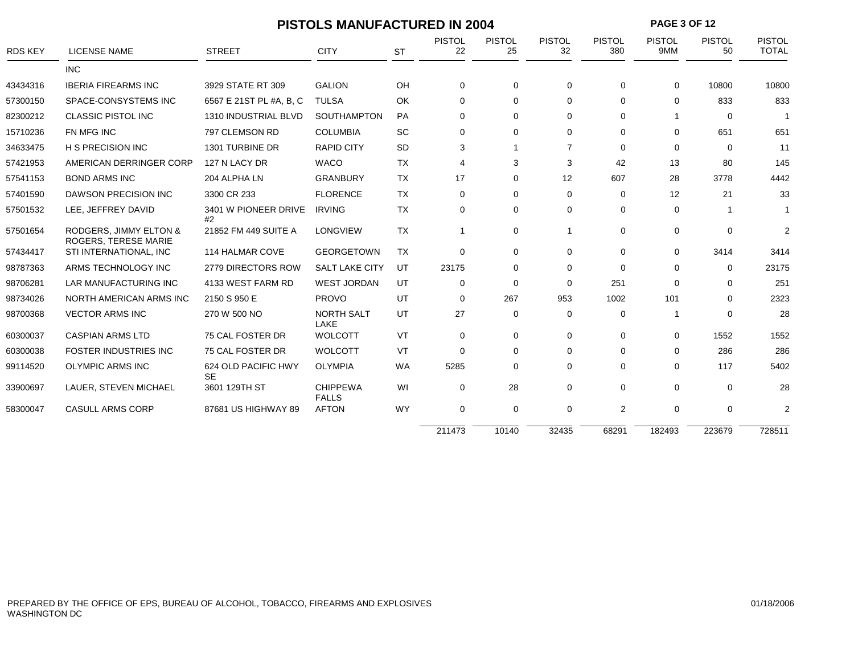| <b>PAGE 3 OF 12</b><br><b>PISTOLS MANUFACTURED IN 2004</b> |                                                       |                                  |                                 |           |                     |                     |                     |                      |                      |                     |                               |
|------------------------------------------------------------|-------------------------------------------------------|----------------------------------|---------------------------------|-----------|---------------------|---------------------|---------------------|----------------------|----------------------|---------------------|-------------------------------|
| <b>RDS KEY</b>                                             | <b>LICENSE NAME</b>                                   | <b>STREET</b>                    | <b>CITY</b>                     | <b>ST</b> | <b>PISTOL</b><br>22 | <b>PISTOL</b><br>25 | <b>PISTOL</b><br>32 | <b>PISTOL</b><br>380 | <b>PISTOL</b><br>9MM | <b>PISTOL</b><br>50 | <b>PISTOL</b><br><b>TOTAL</b> |
|                                                            | <b>INC</b>                                            |                                  |                                 |           |                     |                     |                     |                      |                      |                     |                               |
| 43434316                                                   | <b>IBERIA FIREARMS INC</b>                            | 3929 STATE RT 309                | <b>GALION</b>                   | OH        | 0                   | $\mathbf 0$         | $\Omega$            | 0                    | $\Omega$             | 10800               | 10800                         |
| 57300150                                                   | SPACE-CONSYSTEMS INC                                  | 6567 E 21ST PL #A, B, C          | <b>TULSA</b>                    | OK        | $\Omega$            | 0                   | $\Omega$            | $\Omega$             | $\Omega$             | 833                 | 833                           |
| 82300212                                                   | <b>CLASSIC PISTOL INC</b>                             | 1310 INDUSTRIAL BLVD             | <b>SOUTHAMPTON</b>              | <b>PA</b> | $\Omega$            | 0                   | $\Omega$            | $\Omega$             |                      | $\mathbf 0$         |                               |
| 15710236                                                   | FN MFG INC                                            | 797 CLEMSON RD                   | <b>COLUMBIA</b>                 | SC        | $\Omega$            | $\Omega$            | $\Omega$            | $\Omega$             | $\Omega$             | 651                 | 651                           |
| 34633475                                                   | <b>H S PRECISION INC</b>                              | 1301 TURBINE DR                  | <b>RAPID CITY</b>               | <b>SD</b> | 3                   |                     | $\overline{7}$      | $\Omega$             | $\Omega$             | $\Omega$            | 11                            |
| 57421953                                                   | AMERICAN DERRINGER CORP                               | 127 N LACY DR                    | <b>WACO</b>                     | <b>TX</b> | 4                   | 3                   | 3                   | 42                   | 13                   | 80                  | 145                           |
| 57541153                                                   | <b>BOND ARMS INC</b>                                  | 204 ALPHA LN                     | <b>GRANBURY</b>                 | <b>TX</b> | 17                  | 0                   | 12                  | 607                  | 28                   | 3778                | 4442                          |
| 57401590                                                   | <b>DAWSON PRECISION INC</b>                           | 3300 CR 233                      | <b>FLORENCE</b>                 | <b>TX</b> | $\Omega$            | $\mathbf 0$         | $\Omega$            | 0                    | 12                   | 21                  | 33                            |
| 57501532                                                   | LEE, JEFFREY DAVID                                    | 3401 W PIONEER DRIVE<br>#2       | <b>IRVING</b>                   | <b>TX</b> | $\Omega$            | $\mathbf 0$         | $\Omega$            | $\Omega$             | $\Omega$             | -1                  | $\mathbf 1$                   |
| 57501654                                                   | RODGERS, JIMMY ELTON &<br><b>ROGERS. TERESE MARIE</b> | 21852 FM 449 SUITE A             | <b>LONGVIEW</b>                 | <b>TX</b> | $\mathbf 1$         | $\mathbf 0$         | -1                  | $\Omega$             | $\Omega$             | $\Omega$            | $\overline{2}$                |
| 57434417                                                   | STI INTERNATIONAL, INC                                | 114 HALMAR COVE                  | <b>GEORGETOWN</b>               | <b>TX</b> | $\Omega$            | $\mathbf 0$         | $\Omega$            | $\Omega$             | $\Omega$             | 3414                | 3414                          |
| 98787363                                                   | ARMS TECHNOLOGY INC                                   | 2779 DIRECTORS ROW               | <b>SALT LAKE CITY</b>           | UT        | 23175               | 0                   | $\Omega$            | $\Omega$             | $\Omega$             | $\mathbf 0$         | 23175                         |
| 98706281                                                   | <b>LAR MANUFACTURING INC</b>                          | 4133 WEST FARM RD                | <b>WEST JORDAN</b>              | UT        | $\Omega$            | 0                   | $\Omega$            | 251                  | $\Omega$             | $\Omega$            | 251                           |
| 98734026                                                   | NORTH AMERICAN ARMS INC                               | 2150 S 950 E                     | <b>PROVO</b>                    | UT        | $\mathbf 0$         | 267                 | 953                 | 1002                 | 101                  | $\Omega$            | 2323                          |
| 98700368                                                   | <b>VECTOR ARMS INC</b>                                | 270 W 500 NO                     | NORTH SALT<br>LAKE              | UT        | 27                  | $\mathbf 0$         | $\Omega$            | $\Omega$             | -1                   | $\Omega$            | 28                            |
| 60300037                                                   | <b>CASPIAN ARMS LTD</b>                               | 75 CAL FOSTER DR                 | <b>WOLCOTT</b>                  | VT        | $\mathbf 0$         | $\mathbf 0$         | $\mathbf 0$         | $\mathbf 0$          | $\Omega$             | 1552                | 1552                          |
| 60300038                                                   | <b>FOSTER INDUSTRIES INC</b>                          | 75 CAL FOSTER DR                 | <b>WOLCOTT</b>                  | VT        | $\Omega$            | $\mathbf 0$         | $\Omega$            | $\Omega$             | $\Omega$             | 286                 | 286                           |
| 99114520                                                   | <b>OLYMPIC ARMS INC</b>                               | 624 OLD PACIFIC HWY<br><b>SE</b> | <b>OLYMPIA</b>                  | <b>WA</b> | 5285                | 0                   | $\Omega$            | $\Omega$             | $\Omega$             | 117                 | 5402                          |
| 33900697                                                   | LAUER, STEVEN MICHAEL                                 | 3601 129TH ST                    | <b>CHIPPEWA</b><br><b>FALLS</b> | WI        | $\mathbf 0$         | 28                  | $\mathbf 0$         | $\mathbf 0$          | $\Omega$             | $\Omega$            | 28                            |
| 58300047                                                   | <b>CASULL ARMS CORP</b>                               | 87681 US HIGHWAY 89              | <b>AFTON</b>                    | <b>WY</b> | $\mathbf 0$         | $\mathbf 0$         | 0                   | 2                    | 0                    | $\mathbf 0$         | 2                             |
|                                                            |                                                       |                                  |                                 |           | 211473              | 10140               | 32435               | 68291                | 182493               | 223679              | 728511                        |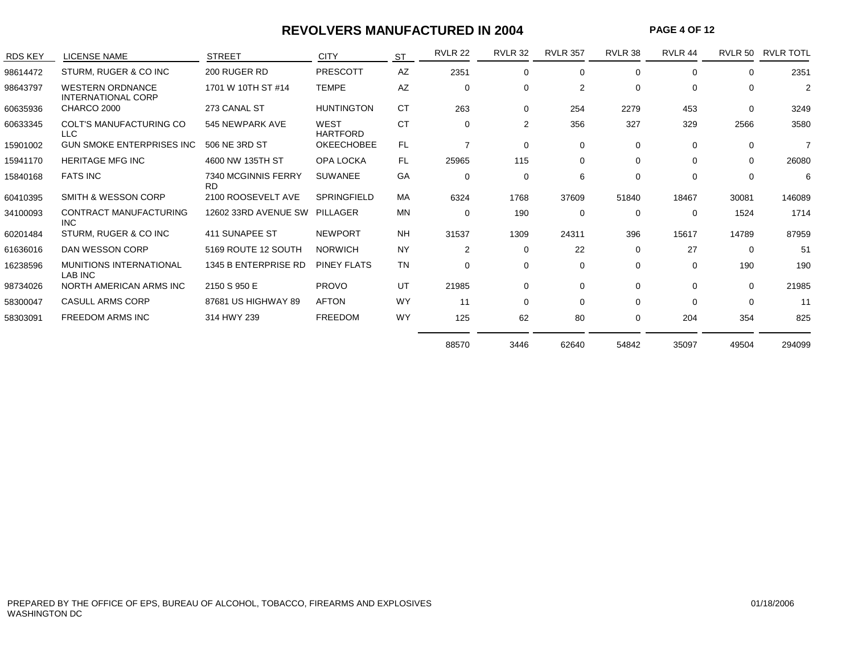#### **REVOLVERS MANUFACTURED IN 2004**

**PAGE 4 OF 12**

| <b>RDS KEY</b> | <b>LICENSE NAME</b>                                  | <b>STREET</b>              | <b>CITY</b>             | <b>ST</b> | <b>RVLR 22</b> | <b>RVLR 32</b> | <b>RVLR 357</b> | RVLR 38     | RVLR 44     | RVLR 50      | <b>RVLR TOTL</b> |
|----------------|------------------------------------------------------|----------------------------|-------------------------|-----------|----------------|----------------|-----------------|-------------|-------------|--------------|------------------|
| 98614472       | STURM, RUGER & CO INC                                | 200 RUGER RD               | PRESCOTT                | AZ        | 2351           | $\mathbf 0$    | $\Omega$        | $\Omega$    | $\Omega$    | $\Omega$     | 2351             |
| 98643797       | <b>WESTERN ORDNANCE</b><br><b>INTERNATIONAL CORP</b> | 1701 W 10TH ST #14         | <b>TEMPE</b>            | AZ        | $\Omega$       | $\mathbf 0$    | $\overline{2}$  | $\Omega$    | $\Omega$    | $\Omega$     | $\overline{2}$   |
| 60635936       | CHARCO 2000                                          | 273 CANAL ST               | <b>HUNTINGTON</b>       | <b>CT</b> | 263            | 0              | 254             | 2279        | 453         | $\Omega$     | 3249             |
| 60633345       | <b>COLT'S MANUFACTURING CO</b><br><b>LLC</b>         | 545 NEWPARK AVE            | WEST<br><b>HARTFORD</b> | <b>CT</b> | $\Omega$       | 2              | 356             | 327         | 329         | 2566         | 3580             |
| 15901002       | <b>GUN SMOKE ENTERPRISES INC</b>                     | 506 NE 3RD ST              | <b>OKEECHOBEE</b>       | FL.       | $\overline{7}$ | $\mathbf 0$    | 0               | $\mathbf 0$ | $\Omega$    | $\mathbf{0}$ | $\overline{7}$   |
| 15941170       | <b>HERITAGE MFG INC</b>                              | 4600 NW 135TH ST           | OPA LOCKA               | <b>FL</b> | 25965          | 115            | 0               | $\Omega$    | $\Omega$    | $\Omega$     | 26080            |
| 15840168       | <b>FATS INC</b>                                      | 7340 MCGINNIS FERRY<br>RD. | <b>SUWANEE</b>          | GA        | $\Omega$       | 0              | 6               | 0           | $\Omega$    | $\Omega$     | 6                |
| 60410395       | SMITH & WESSON CORP                                  | 2100 ROOSEVELT AVE         | <b>SPRINGFIELD</b>      | MA        | 6324           | 1768           | 37609           | 51840       | 18467       | 30081        | 146089           |
| 34100093       | CONTRACT MANUFACTURING<br><b>INC</b>                 | 12602 33RD AVENUE SW       | PILLAGER                | <b>MN</b> | 0              | 190            | 0               | 0           | $\mathbf 0$ | 1524         | 1714             |
| 60201484       | STURM, RUGER & CO INC                                | 411 SUNAPEE ST             | <b>NEWPORT</b>          | <b>NH</b> | 31537          | 1309           | 24311           | 396         | 15617       | 14789        | 87959            |
| 61636016       | DAN WESSON CORP                                      | 5169 ROUTE 12 SOUTH        | <b>NORWICH</b>          | <b>NY</b> | $\overline{2}$ | $\mathbf 0$    | 22              | $\mathbf 0$ | 27          | $\Omega$     | 51               |
| 16238596       | <b>MUNITIONS INTERNATIONAL</b><br>LAB INC            | 1345 B ENTERPRISE RD       | <b>PINEY FLATS</b>      | <b>TN</b> | 0              | $\mathbf 0$    | 0               | $\mathbf 0$ | $\mathbf 0$ | 190          | 190              |
| 98734026       | NORTH AMERICAN ARMS INC                              | 2150 S 950 E               | <b>PROVO</b>            | UT        | 21985          | $\mathbf 0$    | 0               | $\mathbf 0$ | $\Omega$    | $\Omega$     | 21985            |
| 58300047       | <b>CASULL ARMS CORP</b>                              | 87681 US HIGHWAY 89        | <b>AFTON</b>            | <b>WY</b> | 11             | $\mathbf 0$    | $\Omega$        | $\mathbf 0$ | $\Omega$    | $\Omega$     | 11               |
| 58303091       | <b>FREEDOM ARMS INC</b>                              | 314 HWY 239                | <b>FREEDOM</b>          | <b>WY</b> | 125            | 62             | 80              | 0           | 204         | 354          | 825              |
|                |                                                      |                            |                         |           | 88570          | 3446           | 62640           | 54842       | 35097       | 49504        | 294099           |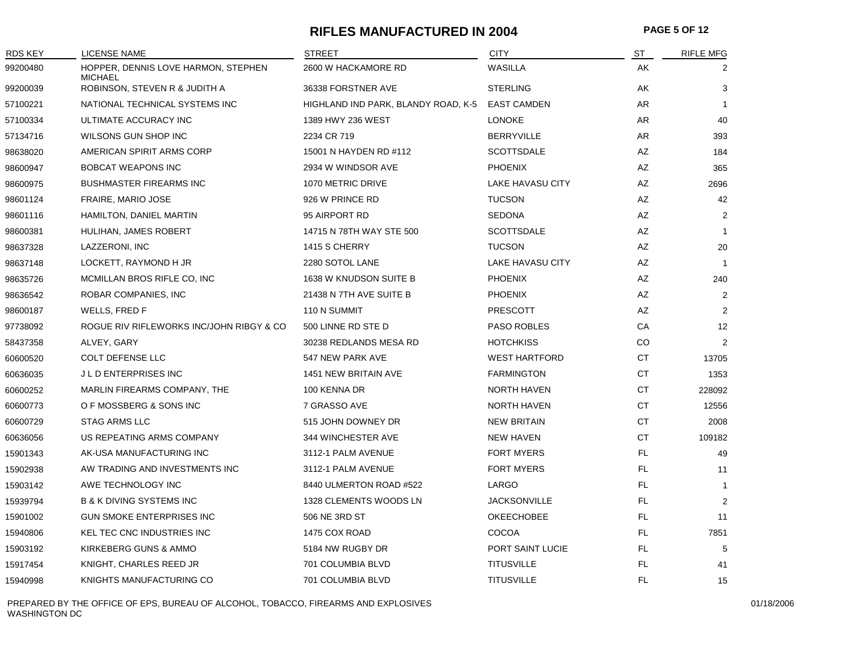#### **RIFLES MANUFACTURED IN 2004 PAGE 5 OF 12**

| <b>RDS KEY</b> | <b>LICENSE NAME</b>                                   | <b>STREET</b>                       | <b>CITY</b>          | $ST$      | <b>RIFLE MFG</b> |
|----------------|-------------------------------------------------------|-------------------------------------|----------------------|-----------|------------------|
| 99200480       | HOPPER, DENNIS LOVE HARMON, STEPHEN<br><b>MICHAEL</b> | 2600 W HACKAMORE RD                 | WASILLA              | AΚ        |                  |
| 99200039       | ROBINSON, STEVEN R & JUDITH A                         | 36338 FORSTNER AVE                  | <b>STERLING</b>      | AK        | 3                |
| 57100221       | NATIONAL TECHNICAL SYSTEMS INC                        | HIGHLAND IND PARK, BLANDY ROAD, K-5 | <b>EAST CAMDEN</b>   | AR        | $\mathbf{1}$     |
| 57100334       | ULTIMATE ACCURACY INC                                 | 1389 HWY 236 WEST                   | <b>LONOKE</b>        | AR        | 40               |
| 57134716       | WILSONS GUN SHOP INC                                  | 2234 CR 719                         | <b>BERRYVILLE</b>    | AR        | 393              |
| 98638020       | AMERICAN SPIRIT ARMS CORP                             | 15001 N HAYDEN RD #112              | <b>SCOTTSDALE</b>    | AZ        | 184              |
| 98600947       | <b>BOBCAT WEAPONS INC</b>                             | 2934 W WINDSOR AVE                  | <b>PHOENIX</b>       | AZ        | 365              |
| 98600975       | <b>BUSHMASTER FIREARMS INC</b>                        | 1070 METRIC DRIVE                   | LAKE HAVASU CITY     | AZ        | 2696             |
| 98601124       | FRAIRE, MARIO JOSE                                    | 926 W PRINCE RD                     | <b>TUCSON</b>        | AZ        | 42               |
| 98601116       | HAMILTON, DANIEL MARTIN                               | 95 AIRPORT RD                       | <b>SEDONA</b>        | AZ        | $\overline{2}$   |
| 98600381       | HULIHAN, JAMES ROBERT                                 | 14715 N 78TH WAY STE 500            | <b>SCOTTSDALE</b>    | AZ        | $\mathbf{1}$     |
| 98637328       | LAZZERONI, INC                                        | 1415 S CHERRY                       | <b>TUCSON</b>        | AZ        | 20               |
| 98637148       | LOCKETT, RAYMOND H JR                                 | 2280 SOTOL LANE                     | LAKE HAVASU CITY     | AZ        | $\mathbf{1}$     |
| 98635726       | MCMILLAN BROS RIFLE CO, INC                           | 1638 W KNUDSON SUITE B              | <b>PHOENIX</b>       | AZ        | 240              |
| 98636542       | ROBAR COMPANIES, INC                                  | 21438 N 7TH AVE SUITE B             | <b>PHOENIX</b>       | AZ        | $\overline{2}$   |
| 98600187       | WELLS, FRED F                                         | 110 N SUMMIT                        | <b>PRESCOTT</b>      | AZ        | $\overline{2}$   |
| 97738092       | ROGUE RIV RIFLEWORKS INC/JOHN RIBGY & CO              | 500 LINNE RD STE D                  | <b>PASO ROBLES</b>   | CA        | 12               |
| 58437358       | ALVEY, GARY                                           | 30238 REDLANDS MESA RD              | <b>HOTCHKISS</b>     | CO        | $\overline{2}$   |
| 60600520       | <b>COLT DEFENSE LLC</b>                               | 547 NEW PARK AVE                    | <b>WEST HARTFORD</b> | CT        | 13705            |
| 60636035       | J L D ENTERPRISES INC                                 | 1451 NEW BRITAIN AVE                | <b>FARMINGTON</b>    | CT        | 1353             |
| 60600252       | MARLIN FIREARMS COMPANY, THE                          | 100 KENNA DR                        | <b>NORTH HAVEN</b>   | CT        | 228092           |
| 60600773       | O F MOSSBERG & SONS INC                               | 7 GRASSO AVE                        | <b>NORTH HAVEN</b>   | CT        | 12556            |
| 60600729       | <b>STAG ARMS LLC</b>                                  | 515 JOHN DOWNEY DR                  | <b>NEW BRITAIN</b>   | <b>CT</b> | 2008             |
| 60636056       | US REPEATING ARMS COMPANY                             | 344 WINCHESTER AVE                  | <b>NEW HAVEN</b>     | <b>CT</b> | 109182           |
| 15901343       | AK-USA MANUFACTURING INC                              | 3112-1 PALM AVENUE                  | <b>FORT MYERS</b>    | FL.       | 49               |
| 15902938       | AW TRADING AND INVESTMENTS INC                        | 3112-1 PALM AVENUE                  | <b>FORT MYERS</b>    | FL.       | 11               |
| 15903142       | AWE TECHNOLOGY INC                                    | 8440 ULMERTON ROAD #522             | LARGO                | FL.       | -1               |
| 15939794       | <b>B &amp; K DIVING SYSTEMS INC</b>                   | 1328 CLEMENTS WOODS LN              | <b>JACKSONVILLE</b>  | FL        | $\overline{2}$   |
| 15901002       | <b>GUN SMOKE ENTERPRISES INC</b>                      | 506 NE 3RD ST                       | OKEECHOBEE           | FL.       | 11               |
| 15940806       | KEL TEC CNC INDUSTRIES INC                            | 1475 COX ROAD                       | COCOA                | FL.       | 7851             |
| 15903192       | KIRKEBERG GUNS & AMMO                                 | 5184 NW RUGBY DR                    | PORT SAINT LUCIE     | FL.       | 5                |
| 15917454       | KNIGHT, CHARLES REED JR                               | 701 COLUMBIA BLVD                   | <b>TITUSVILLE</b>    | FL.       | 41               |
| 15940998       | KNIGHTS MANUFACTURING CO                              | 701 COLUMBIA BLVD                   | <b>TITUSVILLE</b>    | <b>FL</b> | 15               |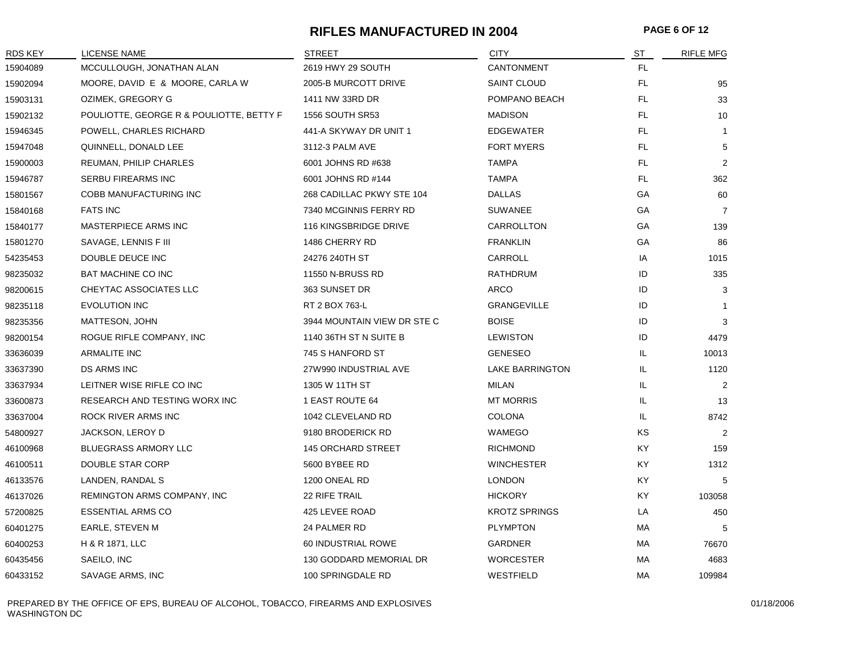#### **RIFLES MANUFACTURED IN 2004 PAGE 6 OF 12**

| <b>RDS KEY</b> | <b>LICENSE NAME</b>                      | <b>STREET</b>               | <b>CITY</b>            | ST  | <b>RIFLE MFG</b> |
|----------------|------------------------------------------|-----------------------------|------------------------|-----|------------------|
| 15904089       | MCCULLOUGH, JONATHAN ALAN                | 2619 HWY 29 SOUTH           | CANTONMENT             | FL. |                  |
| 15902094       | MOORE, DAVID E & MOORE, CARLA W          | 2005-B MURCOTT DRIVE        | <b>SAINT CLOUD</b>     | FL. | 95               |
| 15903131       | OZIMEK, GREGORY G                        | 1411 NW 33RD DR             | POMPANO BEACH          | FL  | 33               |
| 15902132       | POULIOTTE, GEORGE R & POULIOTTE, BETTY F | <b>1556 SOUTH SR53</b>      | <b>MADISON</b>         | FL  | 10               |
| 15946345       | POWELL, CHARLES RICHARD                  | 441-A SKYWAY DR UNIT 1      | <b>EDGEWATER</b>       | FL  | $\mathbf{1}$     |
| 15947048       | QUINNELL, DONALD LEE                     | 3112-3 PALM AVE             | <b>FORT MYERS</b>      | FL. | 5                |
| 15900003       | REUMAN, PHILIP CHARLES                   | 6001 JOHNS RD #638          | <b>TAMPA</b>           | FL. | $\overline{2}$   |
| 15946787       | <b>SERBU FIREARMS INC</b>                | 6001 JOHNS RD #144          | <b>TAMPA</b>           | FL. | 362              |
| 15801567       | COBB MANUFACTURING INC                   | 268 CADILLAC PKWY STE 104   | <b>DALLAS</b>          | GA  | 60               |
| 15840168       | <b>FATS INC</b>                          | 7340 MCGINNIS FERRY RD      | <b>SUWANEE</b>         | GA  | $\overline{7}$   |
| 15840177       | MASTERPIECE ARMS INC                     | 116 KINGSBRIDGE DRIVE       | CARROLLTON             | GA  | 139              |
| 15801270       | SAVAGE, LENNIS F III                     | 1486 CHERRY RD              | <b>FRANKLIN</b>        | GА  | 86               |
| 54235453       | DOUBLE DEUCE INC                         | 24276 240TH ST              | CARROLL                | IA  | 1015             |
| 98235032       | <b>BAT MACHINE CO INC</b>                | 11550 N-BRUSS RD            | RATHDRUM               | ID  | 335              |
| 98200615       | CHEYTAC ASSOCIATES LLC                   | 363 SUNSET DR               | ARCO                   | ID  | 3                |
| 98235118       | <b>EVOLUTION INC</b>                     | RT 2 BOX 763-L              | <b>GRANGEVILLE</b>     | ID  | $\mathbf{1}$     |
| 98235356       | MATTESON, JOHN                           | 3944 MOUNTAIN VIEW DR STE C | <b>BOISE</b>           | ID  | 3                |
| 98200154       | ROGUE RIFLE COMPANY, INC                 | 1140 36TH ST N SUITE B      | <b>LEWISTON</b>        | ID  | 4479             |
| 33636039       | <b>ARMALITE INC</b>                      | 745 S HANFORD ST            | <b>GENESEO</b>         | IL. | 10013            |
| 33637390       | DS ARMS INC                              | 27W990 INDUSTRIAL AVE       | <b>LAKE BARRINGTON</b> | IL  | 1120             |
| 33637934       | LEITNER WISE RIFLE CO INC                | 1305 W 11TH ST              | MILAN                  | IL. | $\overline{2}$   |
| 33600873       | RESEARCH AND TESTING WORX INC            | 1 EAST ROUTE 64             | <b>MT MORRIS</b>       | IL  | 13               |
| 33637004       | ROCK RIVER ARMS INC                      | 1042 CLEVELAND RD           | <b>COLONA</b>          | IL  | 8742             |
| 54800927       | JACKSON, LEROY D                         | 9180 BRODERICK RD           | WAMEGO                 | ΚS  | 2                |
| 46100968       | <b>BLUEGRASS ARMORY LLC</b>              | <b>145 ORCHARD STREET</b>   | <b>RICHMOND</b>        | ΚY  | 159              |
| 46100511       | DOUBLE STAR CORP                         | 5600 BYBEE RD               | <b>WINCHESTER</b>      | KY. | 1312             |
| 46133576       | LANDEN, RANDAL S                         | 1200 ONEAL RD               | <b>LONDON</b>          | KY. | 5                |
| 46137026       | REMINGTON ARMS COMPANY, INC              | 22 RIFE TRAIL               | <b>HICKORY</b>         | KY. | 103058           |
| 57200825       | <b>ESSENTIAL ARMS CO</b>                 | 425 LEVEE ROAD              | <b>KROTZ SPRINGS</b>   | LA  | 450              |
| 60401275       | EARLE, STEVEN M                          | 24 PALMER RD                | <b>PLYMPTON</b>        | МA  | 5                |
| 60400253       | H & R 1871, LLC                          | 60 INDUSTRIAL ROWE          | <b>GARDNER</b>         | МA  | 76670            |
| 60435456       | SAEILO, INC                              | 130 GODDARD MEMORIAL DR     | <b>WORCESTER</b>       | MA  | 4683             |
| 60433152       | SAVAGE ARMS, INC                         | 100 SPRINGDALE RD           | WESTFIELD              | МA  | 109984           |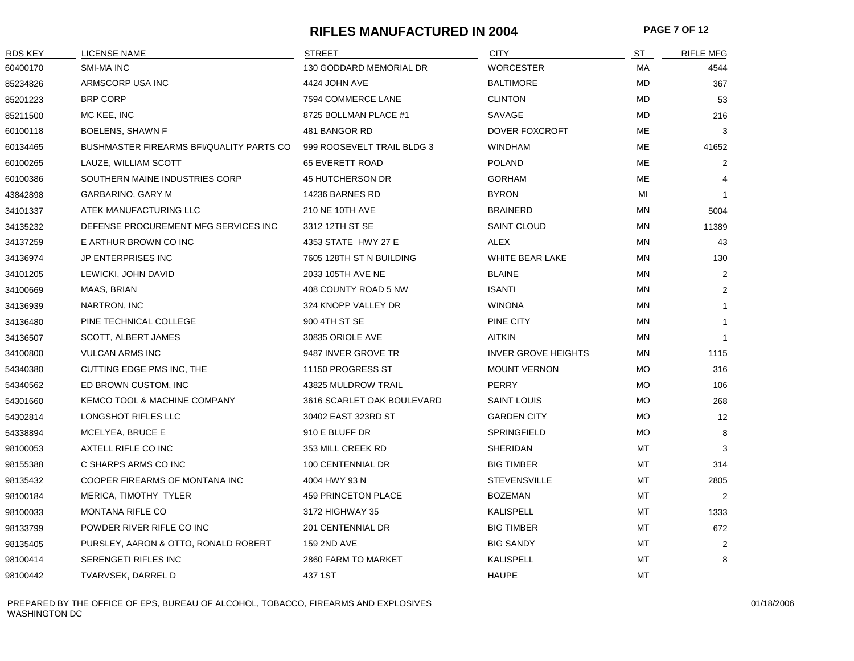#### **RIFLES MANUFACTURED IN 2004 PAGE 7 OF 12**

| <b>RDS KEY</b> | <b>LICENSE NAME</b>                             | <b>STREET</b>              | <b>CITY</b>                | ST        | <b>RIFLE MFG</b> |
|----------------|-------------------------------------------------|----------------------------|----------------------------|-----------|------------------|
| 60400170       | <b>SMI-MA INC</b>                               | 130 GODDARD MEMORIAL DR    | <b>WORCESTER</b>           | МA        | 4544             |
| 85234826       | ARMSCORP USA INC                                | 4424 JOHN AVE              | <b>BALTIMORE</b>           | MD        | 367              |
| 85201223       | <b>BRP CORP</b>                                 | 7594 COMMERCE LANE         | <b>CLINTON</b>             | MD        | 53               |
| 85211500       | MC KEE, INC                                     | 8725 BOLLMAN PLACE #1      | SAVAGE                     | MD        | 216              |
| 60100118       | <b>BOELENS, SHAWN F</b>                         | 481 BANGOR RD              | DOVER FOXCROFT             | ME        | 3                |
| 60134465       | <b>BUSHMASTER FIREARMS BFI/QUALITY PARTS CO</b> | 999 ROOSEVELT TRAIL BLDG 3 | <b>WINDHAM</b>             | ME        | 41652            |
| 60100265       | LAUZE, WILLIAM SCOTT                            | 65 EVERETT ROAD            | <b>POLAND</b>              | ME        | $\overline{c}$   |
| 60100386       | SOUTHERN MAINE INDUSTRIES CORP                  | 45 HUTCHERSON DR           | <b>GORHAM</b>              | ME        | $\overline{4}$   |
| 43842898       | <b>GARBARINO, GARY M</b>                        | 14236 BARNES RD            | <b>BYRON</b>               | MI        | $\mathbf{1}$     |
| 34101337       | ATEK MANUFACTURING LLC                          | 210 NE 10TH AVE            | <b>BRAINERD</b>            | MN        | 5004             |
| 34135232       | DEFENSE PROCUREMENT MFG SERVICES INC            | 3312 12TH ST SE            | <b>SAINT CLOUD</b>         | MN        | 11389            |
| 34137259       | E ARTHUR BROWN CO INC                           | 4353 STATE HWY 27 E        | ALEX                       | ΜN        | 43               |
| 34136974       | <b>JP ENTERPRISES INC</b>                       | 7605 128TH ST N BUILDING   | WHITE BEAR LAKE            | MN        | 130              |
| 34101205       | LEWICKI, JOHN DAVID                             | 2033 105TH AVE NE          | <b>BLAINE</b>              | <b>MN</b> | 2                |
| 34100669       | MAAS, BRIAN                                     | 408 COUNTY ROAD 5 NW       | <b>ISANTI</b>              | MN        | $\overline{2}$   |
| 34136939       | NARTRON, INC                                    | 324 KNOPP VALLEY DR        | <b>WINONA</b>              | MN        | $\mathbf{1}$     |
| 34136480       | PINE TECHNICAL COLLEGE                          | 900 4TH ST SE              | PINE CITY                  | MN        | $\mathbf{1}$     |
| 34136507       | <b>SCOTT, ALBERT JAMES</b>                      | 30835 ORIOLE AVE           | <b>AITKIN</b>              | MN        | $\mathbf{1}$     |
| 34100800       | <b>VULCAN ARMS INC</b>                          | 9487 INVER GROVE TR        | <b>INVER GROVE HEIGHTS</b> | ΜN        | 1115             |
| 54340380       | CUTTING EDGE PMS INC, THE                       | 11150 PROGRESS ST          | <b>MOUNT VERNON</b>        | МO        | 316              |
| 54340562       | ED BROWN CUSTOM, INC                            | 43825 MULDROW TRAIL        | <b>PERRY</b>               | МO        | 106              |
| 54301660       | KEMCO TOOL & MACHINE COMPANY                    | 3616 SCARLET OAK BOULEVARD | <b>SAINT LOUIS</b>         | <b>MO</b> | 268              |
| 54302814       | LONGSHOT RIFLES LLC                             | 30402 EAST 323RD ST        | <b>GARDEN CITY</b>         | <b>MO</b> | 12               |
| 54338894       | MCELYEA, BRUCE E                                | 910 E BLUFF DR             | SPRINGFIELD                | <b>MO</b> | 8                |
| 98100053       | AXTELL RIFLE CO INC                             | 353 MILL CREEK RD          | <b>SHERIDAN</b>            | MT        | 3                |
| 98155388       | C SHARPS ARMS CO INC                            | 100 CENTENNIAL DR          | <b>BIG TIMBER</b>          | МT        | 314              |
| 98135432       | COOPER FIREARMS OF MONTANA INC                  | 4004 HWY 93 N              | <b>STEVENSVILLE</b>        | MT        | 2805             |
| 98100184       | MERICA, TIMOTHY TYLER                           | 459 PRINCETON PLACE        | <b>BOZEMAN</b>             | MT        | 2                |
| 98100033       | <b>MONTANA RIFLE CO</b>                         | 3172 HIGHWAY 35            | KALISPELL                  | MT        | 1333             |
| 98133799       | POWDER RIVER RIFLE CO INC                       | 201 CENTENNIAL DR          | <b>BIG TIMBER</b>          | <b>MT</b> | 672              |
| 98135405       | PURSLEY, AARON & OTTO, RONALD ROBERT            | 159 2ND AVE                | <b>BIG SANDY</b>           | МT        | $\overline{2}$   |
| 98100414       | SERENGETI RIFLES INC                            | 2860 FARM TO MARKET        | <b>KALISPELL</b>           | MT        | 8                |
| 98100442       | TVARVSEK, DARREL D                              | 437 1ST                    | <b>HAUPE</b>               | MT        |                  |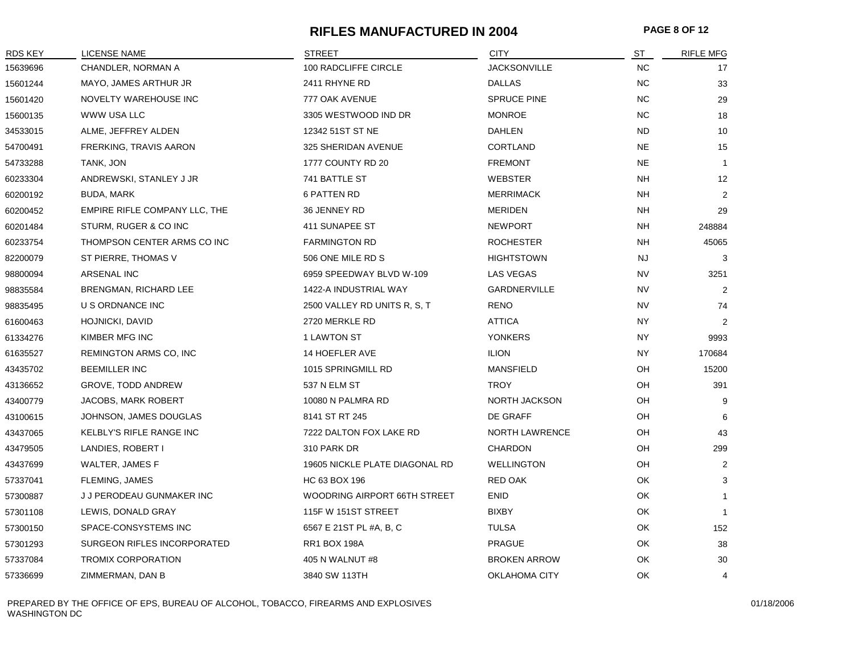#### **RIFLES MANUFACTURED IN 2004 PAGE 8 OF 12**

| <b>RDS KEY</b> | LICENSE NAME                       | <b>STREET</b>                  | <b>CITY</b>           | $ST$      | <b>RIFLE MFG</b> |
|----------------|------------------------------------|--------------------------------|-----------------------|-----------|------------------|
| 15639696       | CHANDLER, NORMAN A                 | 100 RADCLIFFE CIRCLE           | <b>JACKSONVILLE</b>   | <b>NC</b> | 17               |
| 15601244       | MAYO, JAMES ARTHUR JR              | 2411 RHYNE RD                  | <b>DALLAS</b>         | NC        | 33               |
| 15601420       | NOVELTY WAREHOUSE INC              | 777 OAK AVENUE                 | <b>SPRUCE PINE</b>    | NC        | 29               |
| 15600135       | WWW USA LLC                        | 3305 WESTWOOD IND DR           | <b>MONROE</b>         | <b>NC</b> | 18               |
| 34533015       | ALME, JEFFREY ALDEN                | 12342 51ST ST NE               | <b>DAHLEN</b>         | <b>ND</b> | 10               |
| 54700491       | FRERKING, TRAVIS AARON             | 325 SHERIDAN AVENUE            | <b>CORTLAND</b>       | <b>NE</b> | 15               |
| 54733288       | TANK, JON                          | 1777 COUNTY RD 20              | <b>FREMONT</b>        | <b>NE</b> | $\mathbf{1}$     |
| 60233304       | ANDREWSKI, STANLEY J JR            | 741 BATTLE ST                  | <b>WEBSTER</b>        | <b>NH</b> | 12               |
| 60200192       | BUDA, MARK                         | <b>6 PATTEN RD</b>             | <b>MERRIMACK</b>      | <b>NH</b> | $\overline{2}$   |
| 60200452       | EMPIRE RIFLE COMPANY LLC, THE      | 36 JENNEY RD                   | <b>MERIDEN</b>        | <b>NH</b> | 29               |
| 60201484       | STURM, RUGER & CO INC              | 411 SUNAPEE ST                 | <b>NEWPORT</b>        | <b>NH</b> | 248884           |
| 60233754       | THOMPSON CENTER ARMS CO INC        | <b>FARMINGTON RD</b>           | <b>ROCHESTER</b>      | <b>NH</b> | 45065            |
| 82200079       | ST PIERRE, THOMAS V                | 506 ONE MILE RD S              | <b>HIGHTSTOWN</b>     | <b>NJ</b> | 3                |
| 98800094       | ARSENAL INC                        | 6959 SPEEDWAY BLVD W-109       | LAS VEGAS             | <b>NV</b> | 3251             |
| 98835584       | <b>BRENGMAN, RICHARD LEE</b>       | 1422-A INDUSTRIAL WAY          | GARDNERVILLE          | <b>NV</b> | 2                |
| 98835495       | U S ORDNANCE INC                   | 2500 VALLEY RD UNITS R, S, T   | <b>RENO</b>           | <b>NV</b> | 74               |
| 61600463       | HOJNICKI, DAVID                    | 2720 MERKLE RD                 | <b>ATTICA</b>         | NY.       | $\overline{2}$   |
| 61334276       | KIMBER MFG INC                     | 1 LAWTON ST                    | <b>YONKERS</b>        | NY        | 9993             |
| 61635527       | REMINGTON ARMS CO, INC             | 14 HOEFLER AVE                 | <b>ILION</b>          | NY.       | 170684           |
| 43435702       | <b>BEEMILLER INC</b>               | 1015 SPRINGMILL RD             | <b>MANSFIELD</b>      | OH        | 15200            |
| 43136652       | GROVE, TODD ANDREW                 | 537 N ELM ST                   | <b>TROY</b>           | OH        | 391              |
| 43400779       | JACOBS, MARK ROBERT                | 10080 N PALMRA RD              | NORTH JACKSON         | OH        | 9                |
| 43100615       | JOHNSON, JAMES DOUGLAS             | 8141 ST RT 245                 | DE GRAFF              | OH        | 6                |
| 43437065       | KELBLY'S RIFLE RANGE INC           | 7222 DALTON FOX LAKE RD        | <b>NORTH LAWRENCE</b> | OН        | 43               |
| 43479505       | LANDIES, ROBERT I                  | 310 PARK DR                    | <b>CHARDON</b>        | OH        | 299              |
| 43437699       | WALTER, JAMES F                    | 19605 NICKLE PLATE DIAGONAL RD | <b>WELLINGTON</b>     | OH        | $\overline{2}$   |
| 57337041       | FLEMING, JAMES                     | HC 63 BOX 196                  | RED OAK               | OK        | 3                |
| 57300887       | J J PERODEAU GUNMAKER INC          | WOODRING AIRPORT 66TH STREET   | <b>ENID</b>           | OK        | $\mathbf{1}$     |
| 57301108       | LEWIS, DONALD GRAY                 | 115F W 151ST STREET            | <b>BIXBY</b>          | OK        | $\overline{1}$   |
| 57300150       | SPACE-CONSYSTEMS INC               | 6567 E 21ST PL #A, B, C        | <b>TULSA</b>          | OK        | 152              |
| 57301293       | <b>SURGEON RIFLES INCORPORATED</b> | <b>RR1 BOX 198A</b>            | <b>PRAGUE</b>         | OK        | 38               |
| 57337084       | <b>TROMIX CORPORATION</b>          | 405 N WALNUT #8                | <b>BROKEN ARROW</b>   | OK        | 30               |
| 57336699       | ZIMMERMAN, DAN B                   | 3840 SW 113TH                  | <b>OKLAHOMA CITY</b>  | OK        | 4                |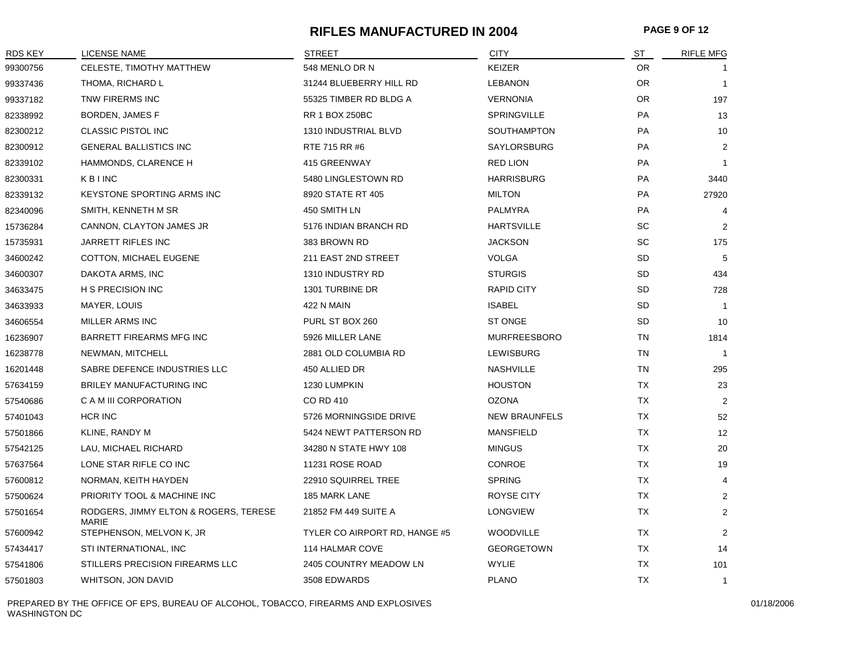#### **RIFLES MANUFACTURED IN 2004 PAGE 9 OF 12**

| <b>RDS KEY</b> | <b>LICENSE NAME</b>                                   | <b>STREET</b>                 | <b>CITY</b>          | ST        | <b>RIFLE MFG</b> |
|----------------|-------------------------------------------------------|-------------------------------|----------------------|-----------|------------------|
| 99300756       | CELESTE, TIMOTHY MATTHEW                              | 548 MENLO DR N                | <b>KEIZER</b>        | OR.       |                  |
| 99337436       | THOMA, RICHARD L                                      | 31244 BLUEBERRY HILL RD       | <b>LEBANON</b>       | OR.       | $\overline{1}$   |
| 99337182       | TNW FIRERMS INC                                       | 55325 TIMBER RD BLDG A        | <b>VERNONIA</b>      | OR.       | 197              |
| 82338992       | BORDEN, JAMES F                                       | <b>RR 1 BOX 250BC</b>         | <b>SPRINGVILLE</b>   | PA        | 13               |
| 82300212       | <b>CLASSIC PISTOL INC</b>                             | 1310 INDUSTRIAL BLVD          | <b>SOUTHAMPTON</b>   | PA        | 10               |
| 82300912       | <b>GENERAL BALLISTICS INC</b>                         | RTE 715 RR #6                 | SAYLORSBURG          | PA        | 2                |
| 82339102       | HAMMONDS, CLARENCE H                                  | 415 GREENWAY                  | <b>RED LION</b>      | <b>PA</b> | -1               |
| 82300331       | KBINC                                                 | 5480 LINGLESTOWN RD           | <b>HARRISBURG</b>    | <b>PA</b> | 3440             |
| 82339132       | <b>KEYSTONE SPORTING ARMS INC</b>                     | 8920 STATE RT 405             | <b>MILTON</b>        | PA        | 27920            |
| 82340096       | SMITH, KENNETH M SR                                   | 450 SMITH LN                  | PALMYRA              | PA        | 4                |
| 15736284       | CANNON, CLAYTON JAMES JR                              | 5176 INDIAN BRANCH RD         | <b>HARTSVILLE</b>    | <b>SC</b> | 2                |
| 15735931       | JARRETT RIFLES INC                                    | 383 BROWN RD                  | <b>JACKSON</b>       | <b>SC</b> | 175              |
| 34600242       | COTTON, MICHAEL EUGENE                                | 211 EAST 2ND STREET           | <b>VOLGA</b>         | <b>SD</b> | -5               |
| 34600307       | DAKOTA ARMS, INC                                      | 1310 INDUSTRY RD              | <b>STURGIS</b>       | SD        | 434              |
| 34633475       | H S PRECISION INC                                     | 1301 TURBINE DR               | <b>RAPID CITY</b>    | SD        | 728              |
| 34633933       | MAYER, LOUIS                                          | 422 N MAIN                    | <b>ISABEL</b>        | SD        | $\overline{1}$   |
| 34606554       | MILLER ARMS INC                                       | PURL ST BOX 260               | <b>ST ONGE</b>       | SD        | 10               |
| 16236907       | <b>BARRETT FIREARMS MFG INC</b>                       | 5926 MILLER LANE              | <b>MURFREESBORO</b>  | TN        | 1814             |
| 16238778       | NEWMAN, MITCHELL                                      | 2881 OLD COLUMBIA RD          | <b>LEWISBURG</b>     | TN        | $\overline{1}$   |
| 16201448       | SABRE DEFENCE INDUSTRIES LLC                          | 450 ALLIED DR                 | <b>NASHVILLE</b>     | TN        | 295              |
| 57634159       | <b>BRILEY MANUFACTURING INC</b>                       | 1230 LUMPKIN                  | <b>HOUSTON</b>       | <b>TX</b> | 23               |
| 57540686       | C A M III CORPORATION                                 | <b>CO RD 410</b>              | <b>OZONA</b>         | TX        | 2                |
| 57401043       | HCR INC                                               | 5726 MORNINGSIDE DRIVE        | <b>NEW BRAUNFELS</b> | TX        | 52               |
| 57501866       | KLINE, RANDY M                                        | 5424 NEWT PATTERSON RD        | <b>MANSFIELD</b>     | TX        | 12               |
| 57542125       | LAU, MICHAEL RICHARD                                  | 34280 N STATE HWY 108         | <b>MINGUS</b>        | TX        | 20               |
| 57637564       | LONE STAR RIFLE CO INC                                | 11231 ROSE ROAD               | <b>CONROE</b>        | <b>TX</b> | 19               |
| 57600812       | NORMAN, KEITH HAYDEN                                  | 22910 SQUIRREL TREE           | <b>SPRING</b>        | <b>TX</b> | 4                |
| 57500624       | PRIORITY TOOL & MACHINE INC                           | 185 MARK LANE                 | ROYSE CITY           | TX        | $\overline{2}$   |
| 57501654       | RODGERS, JIMMY ELTON & ROGERS, TERESE<br><b>MARIE</b> | 21852 FM 449 SUITE A          | <b>LONGVIEW</b>      | ТX        | 2                |
| 57600942       | STEPHENSON, MELVON K, JR                              | TYLER CO AIRPORT RD, HANGE #5 | <b>WOODVILLE</b>     | TX        | 2                |
| 57434417       | STI INTERNATIONAL, INC                                | 114 HALMAR COVE               | <b>GEORGETOWN</b>    | TX        | 14               |
| 57541806       | STILLERS PRECISION FIREARMS LLC                       | 2405 COUNTRY MEADOW LN        | WYLIE                | TX        | 101              |
| 57501803       | WHITSON, JON DAVID                                    | 3508 EDWARDS                  | <b>PLANO</b>         | <b>TX</b> | $\overline{1}$   |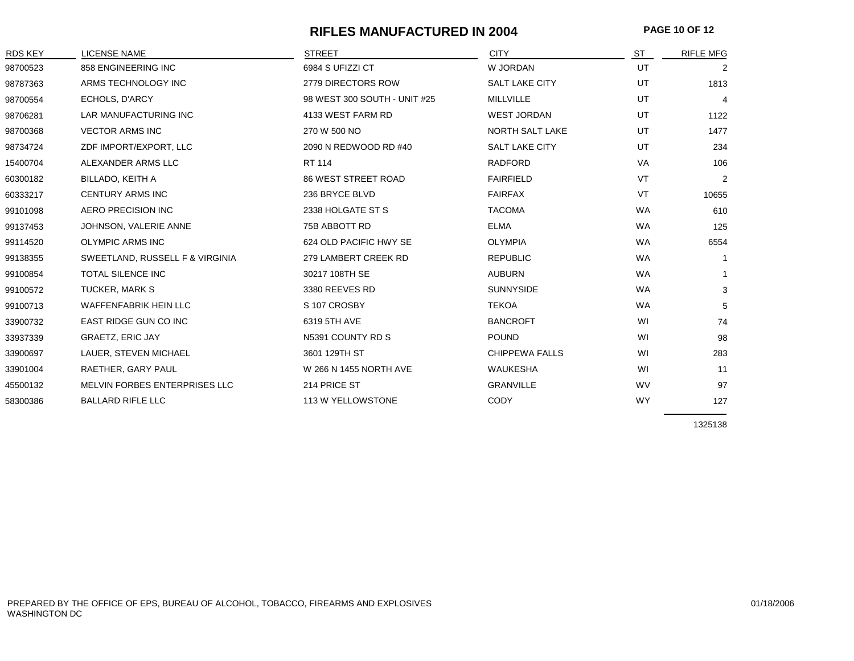#### **RIFLES MANUFACTURED IN 2004 PAGE 10 OF 12**

| <b>RDS KEY</b> | <b>LICENSE NAME</b>             | <b>STREET</b>                | <b>CITY</b>           | ST        | <b>RIFLE MFG</b> |
|----------------|---------------------------------|------------------------------|-----------------------|-----------|------------------|
| 98700523       | 858 ENGINEERING INC             | 6984 S UFIZZI CT             | W JORDAN              | UT        | 2                |
| 98787363       | ARMS TECHNOLOGY INC             | 2779 DIRECTORS ROW           | <b>SALT LAKE CITY</b> | UT        | 1813             |
| 98700554       | ECHOLS, D'ARCY                  | 98 WEST 300 SOUTH - UNIT #25 | MILLVILLE             | UT        | $\overline{4}$   |
| 98706281       | LAR MANUFACTURING INC           | 4133 WEST FARM RD            | <b>WEST JORDAN</b>    | UT        | 1122             |
| 98700368       | <b>VECTOR ARMS INC</b>          | 270 W 500 NO                 | NORTH SALT LAKE       | UT        | 1477             |
| 98734724       | ZDF IMPORT/EXPORT, LLC          | 2090 N REDWOOD RD #40        | <b>SALT LAKE CITY</b> | UT        | 234              |
| 15400704       | ALEXANDER ARMS LLC              | RT 114                       | <b>RADFORD</b>        | VA        | 106              |
| 60300182       | BILLADO, KEITH A                | <b>86 WEST STREET ROAD</b>   | <b>FAIRFIELD</b>      | VT        | $\overline{2}$   |
| 60333217       | <b>CENTURY ARMS INC</b>         | 236 BRYCE BLVD               | <b>FAIRFAX</b>        | VT        | 10655            |
| 99101098       | <b>AERO PRECISION INC</b>       | 2338 HOLGATE ST S            | <b>TACOMA</b>         | <b>WA</b> | 610              |
| 99137453       | JOHNSON, VALERIE ANNE           | 75B ABBOTT RD                | <b>ELMA</b>           | <b>WA</b> | 125              |
| 99114520       | <b>OLYMPIC ARMS INC</b>         | 624 OLD PACIFIC HWY SE       | <b>OLYMPIA</b>        | <b>WA</b> | 6554             |
| 99138355       | SWEETLAND, RUSSELL F & VIRGINIA | 279 LAMBERT CREEK RD         | <b>REPUBLIC</b>       | <b>WA</b> | $\mathbf{1}$     |
| 99100854       | <b>TOTAL SILENCE INC</b>        | 30217 108TH SE               | <b>AUBURN</b>         | <b>WA</b> | $\mathbf{1}$     |
| 99100572       | <b>TUCKER, MARK S</b>           | 3380 REEVES RD               | <b>SUNNYSIDE</b>      | <b>WA</b> | 3                |
| 99100713       | <b>WAFFENFABRIK HEIN LLC</b>    | S 107 CROSBY                 | <b>TEKOA</b>          | <b>WA</b> | 5                |
| 33900732       | <b>EAST RIDGE GUN CO INC</b>    | 6319 5TH AVE                 | <b>BANCROFT</b>       | WI        | 74               |
| 33937339       | <b>GRAETZ, ERIC JAY</b>         | N5391 COUNTY RD S            | <b>POUND</b>          | WI        | 98               |
| 33900697       | LAUER, STEVEN MICHAEL           | 3601 129TH ST                | <b>CHIPPEWA FALLS</b> | WI        | 283              |
| 33901004       | RAETHER, GARY PAUL              | W 266 N 1455 NORTH AVE       | <b>WAUKESHA</b>       | WI        | 11               |
| 45500132       | MELVIN FORBES ENTERPRISES LLC   | 214 PRICE ST                 | <b>GRANVILLE</b>      | <b>WV</b> | 97               |
| 58300386       | <b>BALLARD RIFLE LLC</b>        | 113 W YELLOWSTONE            | <b>CODY</b>           | <b>WY</b> | 127              |
|                |                                 |                              |                       |           |                  |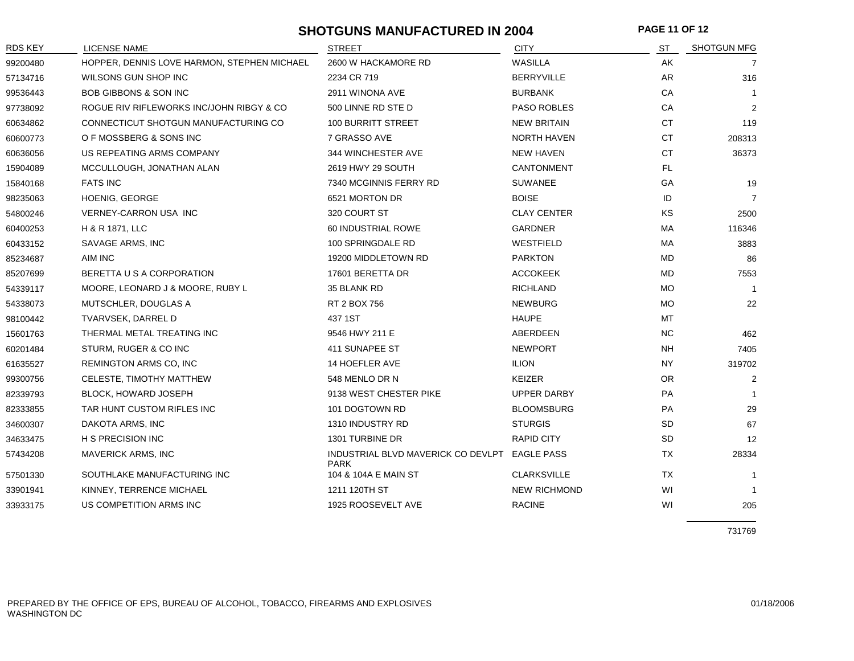## **SHOTGUNS MANUFACTURED IN 2004 PAGE 11 OF 12**

| RDS KEY  | <b>LICENSE NAME</b>                         | <b>STREET</b>                                     | <b>CITY</b>         | ST        | <b>SHOTGUN MFG</b> |
|----------|---------------------------------------------|---------------------------------------------------|---------------------|-----------|--------------------|
| 99200480 | HOPPER, DENNIS LOVE HARMON, STEPHEN MICHAEL | 2600 W HACKAMORE RD                               | WASILLA             | AK        | 7                  |
| 57134716 | WILSONS GUN SHOP INC                        | 2234 CR 719                                       | <b>BERRYVILLE</b>   | AR        | 316                |
| 99536443 | <b>BOB GIBBONS &amp; SON INC</b>            | 2911 WINONA AVE                                   | <b>BURBANK</b>      | CA        |                    |
| 97738092 | ROGUE RIV RIFLEWORKS INC/JOHN RIBGY & CO    | 500 LINNE RD STE D                                | <b>PASO ROBLES</b>  | CA        | 2                  |
| 60634862 | CONNECTICUT SHOTGUN MANUFACTURING CO        | <b>100 BURRITT STREET</b>                         | <b>NEW BRITAIN</b>  | <b>CT</b> | 119                |
| 60600773 | O F MOSSBERG & SONS INC                     | 7 GRASSO AVE                                      | NORTH HAVEN         | CT        | 208313             |
| 60636056 | US REPEATING ARMS COMPANY                   | 344 WINCHESTER AVE                                | <b>NEW HAVEN</b>    | <b>CT</b> | 36373              |
| 15904089 | MCCULLOUGH, JONATHAN ALAN                   | 2619 HWY 29 SOUTH                                 | <b>CANTONMENT</b>   | FL.       |                    |
| 15840168 | <b>FATS INC</b>                             | 7340 MCGINNIS FERRY RD                            | <b>SUWANEE</b>      | GA        | 19                 |
| 98235063 | HOENIG, GEORGE                              | 6521 MORTON DR                                    | <b>BOISE</b>        | ID        | $\overline{7}$     |
| 54800246 | VERNEY-CARRON USA INC                       | 320 COURT ST                                      | <b>CLAY CENTER</b>  | KS        | 2500               |
| 60400253 | H & R 1871, LLC                             | 60 INDUSTRIAL ROWE                                | <b>GARDNER</b>      | MA        | 116346             |
| 60433152 | SAVAGE ARMS, INC                            | 100 SPRINGDALE RD                                 | WESTFIELD           | МA        | 3883               |
| 85234687 | AIM INC                                     | 19200 MIDDLETOWN RD                               | <b>PARKTON</b>      | MD        | 86                 |
| 85207699 | BERETTA U S A CORPORATION                   | 17601 BERETTA DR                                  | <b>ACCOKEEK</b>     | <b>MD</b> | 7553               |
| 54339117 | MOORE, LEONARD J & MOORE, RUBY L            | 35 BLANK RD                                       | <b>RICHLAND</b>     | MO.       |                    |
| 54338073 | MUTSCHLER, DOUGLAS A                        | RT 2 BOX 756                                      | <b>NEWBURG</b>      | <b>MO</b> | 22                 |
| 98100442 | TVARVSEK, DARREL D                          | 437 1ST                                           | <b>HAUPE</b>        | MT        |                    |
| 15601763 | THERMAL METAL TREATING INC                  | 9546 HWY 211 E                                    | ABERDEEN            | NC.       | 462                |
| 60201484 | STURM, RUGER & CO INC                       | 411 SUNAPEE ST                                    | <b>NEWPORT</b>      | NH        | 7405               |
| 61635527 | REMINGTON ARMS CO, INC                      | 14 HOEFLER AVE                                    | <b>ILION</b>        | <b>NY</b> | 319702             |
| 99300756 | CELESTE, TIMOTHY MATTHEW                    | 548 MENLO DR N                                    | <b>KEIZER</b>       | <b>OR</b> | 2                  |
| 82339793 | <b>BLOCK, HOWARD JOSEPH</b>                 | 9138 WEST CHESTER PIKE                            | <b>UPPER DARBY</b>  | <b>PA</b> |                    |
| 82333855 | TAR HUNT CUSTOM RIFLES INC                  | 101 DOGTOWN RD                                    | <b>BLOOMSBURG</b>   | PA        | 29                 |
| 34600307 | DAKOTA ARMS, INC                            | 1310 INDUSTRY RD                                  | <b>STURGIS</b>      | <b>SD</b> | 67                 |
| 34633475 | H S PRECISION INC                           | 1301 TURBINE DR                                   | <b>RAPID CITY</b>   | <b>SD</b> | 12                 |
| 57434208 | MAVERICK ARMS, INC                          | INDUSTRIAL BLVD MAVERICK CO DEVLPT<br><b>PARK</b> | <b>EAGLE PASS</b>   | <b>TX</b> | 28334              |
| 57501330 | SOUTHLAKE MANUFACTURING INC                 | 104 & 104A E MAIN ST                              | <b>CLARKSVILLE</b>  | <b>TX</b> |                    |
| 33901941 | KINNEY, TERRENCE MICHAEL                    | 1211 120TH ST                                     | <b>NEW RICHMOND</b> | WI        | -1                 |
| 33933175 | US COMPETITION ARMS INC                     | 1925 ROOSEVELT AVE                                | <b>RACINE</b>       | WI        | 205                |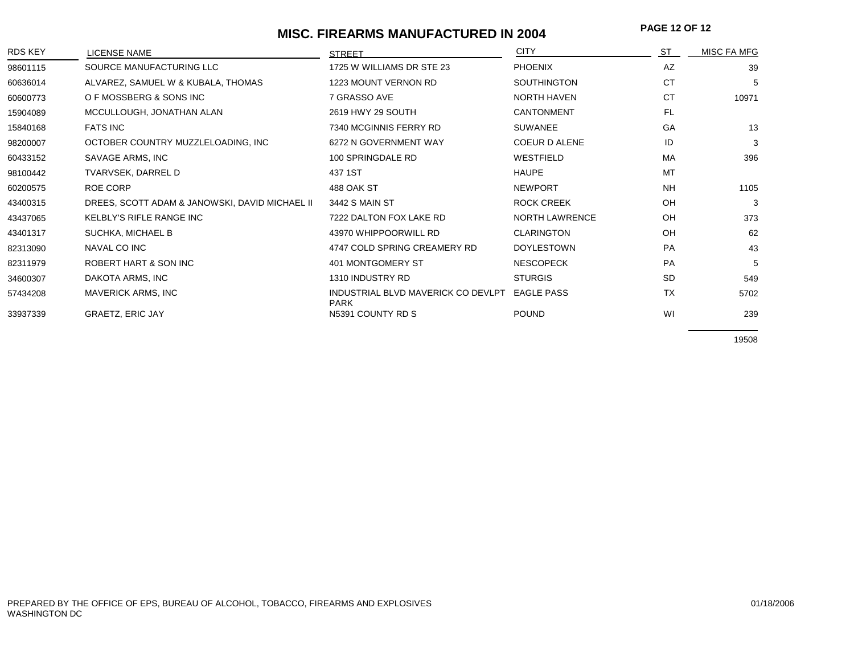# **MISC. FIREARMS MANUFACTURED IN 2004** PAGE 12 OF 12

| <b>RDS KEY</b> | <b>LICENSE NAME</b>                            | <b>STREET</b>                                     | <b>CITY</b>           | <b>ST</b> | <b>MISC FA MFG</b> |
|----------------|------------------------------------------------|---------------------------------------------------|-----------------------|-----------|--------------------|
| 98601115       | SOURCE MANUFACTURING LLC                       | 1725 W WILLIAMS DR STE 23                         | <b>PHOENIX</b>        | AZ        | 39                 |
| 60636014       | ALVAREZ, SAMUEL W & KUBALA, THOMAS             | 1223 MOUNT VERNON RD                              | <b>SOUTHINGTON</b>    | <b>CT</b> | 5                  |
| 60600773       | O F MOSSBERG & SONS INC                        | 7 GRASSO AVE                                      | <b>NORTH HAVEN</b>    | <b>CT</b> | 10971              |
| 15904089       | MCCULLOUGH, JONATHAN ALAN                      | 2619 HWY 29 SOUTH                                 | <b>CANTONMENT</b>     | <b>FL</b> |                    |
| 15840168       | <b>FATS INC</b>                                | 7340 MCGINNIS FERRY RD                            | <b>SUWANEE</b>        | GA        | 13                 |
| 98200007       | OCTOBER COUNTRY MUZZLELOADING, INC             | 6272 N GOVERNMENT WAY                             | COEUR D ALENE         | ID        | 3                  |
| 60433152       | SAVAGE ARMS, INC                               | 100 SPRINGDALE RD                                 | WESTFIELD             | MA        | 396                |
| 98100442       | TVARVSEK, DARREL D                             | 437 1ST                                           | <b>HAUPE</b>          | <b>MT</b> |                    |
| 60200575       | ROE CORP                                       | 488 OAK ST                                        | <b>NEWPORT</b>        | <b>NH</b> | 1105               |
| 43400315       | DREES, SCOTT ADAM & JANOWSKI, DAVID MICHAEL II | 3442 S MAIN ST                                    | ROCK CREEK            | OH        | 3                  |
| 43437065       | <b>KELBLY'S RIFLE RANGE INC</b>                | 7222 DALTON FOX LAKE RD                           | <b>NORTH LAWRENCE</b> | OH        | 373                |
| 43401317       | SUCHKA, MICHAEL B                              | 43970 WHIPPOORWILL RD                             | <b>CLARINGTON</b>     | OH        | 62                 |
| 82313090       | NAVAL CO INC                                   | 4747 COLD SPRING CREAMERY RD                      | <b>DOYLESTOWN</b>     | PA        | 43                 |
| 82311979       | ROBERT HART & SON INC                          | 401 MONTGOMERY ST                                 | <b>NESCOPECK</b>      | PA        | 5                  |
| 34600307       | DAKOTA ARMS, INC                               | 1310 INDUSTRY RD                                  | <b>STURGIS</b>        | <b>SD</b> | 549                |
| 57434208       | <b>MAVERICK ARMS, INC</b>                      | INDUSTRIAL BLVD MAVERICK CO DEVLPT<br><b>PARK</b> | <b>EAGLE PASS</b>     | <b>TX</b> | 5702               |
| 33937339       | <b>GRAETZ, ERIC JAY</b>                        | N5391 COUNTY RD S                                 | <b>POUND</b>          | WI        | 239                |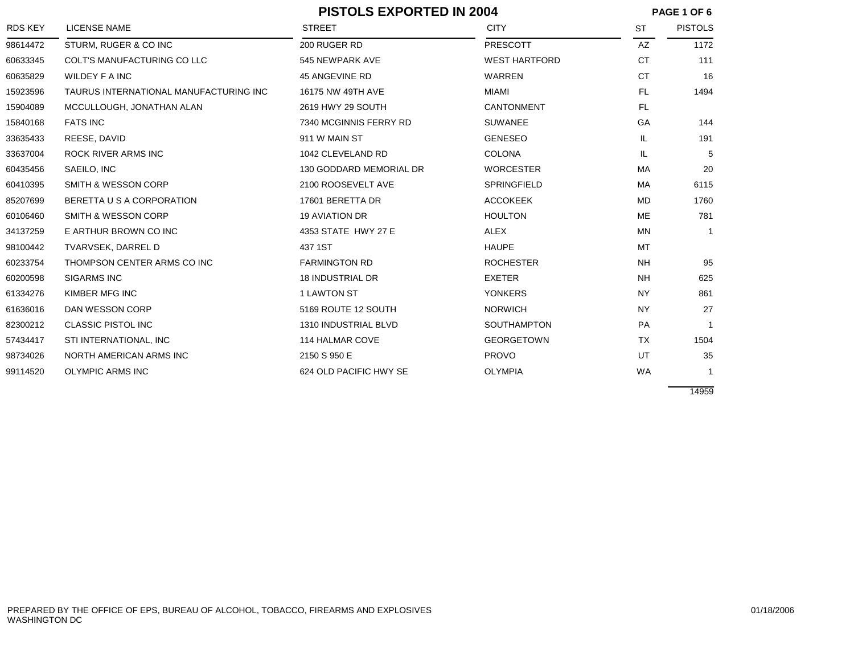|                |                                        | <b>PISTOLS EXPORTED IN 2004</b> |                      | PAGE 1 OF 6 |                |
|----------------|----------------------------------------|---------------------------------|----------------------|-------------|----------------|
| <b>RDS KEY</b> | <b>LICENSE NAME</b>                    | <b>STREET</b>                   | <b>CITY</b>          | <b>ST</b>   | <b>PISTOLS</b> |
| 98614472       | STURM, RUGER & CO INC                  | 200 RUGER RD                    | PRESCOTT             | AZ          | 1172           |
| 60633345       | COLT'S MANUFACTURING CO LLC            | 545 NEWPARK AVE                 | <b>WEST HARTFORD</b> | <b>CT</b>   | 111            |
| 60635829       | WILDEY F A INC                         | 45 ANGEVINE RD                  | WARREN               | <b>CT</b>   | 16             |
| 15923596       | TAURUS INTERNATIONAL MANUFACTURING INC | 16175 NW 49TH AVE               | MIAMI                | <b>FL</b>   | 1494           |
| 15904089       | MCCULLOUGH, JONATHAN ALAN              | 2619 HWY 29 SOUTH               | CANTONMENT           | FL          |                |
| 15840168       | <b>FATS INC</b>                        | 7340 MCGINNIS FERRY RD          | <b>SUWANEE</b>       | GA          | 144            |
| 33635433       | REESE, DAVID                           | 911 W MAIN ST                   | <b>GENESEO</b>       | IL.         | 191            |
| 33637004       | ROCK RIVER ARMS INC                    | 1042 CLEVELAND RD               | <b>COLONA</b>        | IL.         | 5              |
| 60435456       | SAEILO, INC                            | 130 GODDARD MEMORIAL DR         | <b>WORCESTER</b>     | МA          | 20             |
| 60410395       | <b>SMITH &amp; WESSON CORP</b>         | 2100 ROOSEVELT AVE              | <b>SPRINGFIELD</b>   | <b>MA</b>   | 6115           |
| 85207699       | BERETTA U S A CORPORATION              | 17601 BERETTA DR                | <b>ACCOKEEK</b>      | <b>MD</b>   | 1760           |
| 60106460       | SMITH & WESSON CORP                    | <b>19 AVIATION DR</b>           | <b>HOULTON</b>       | ME          | 781            |
| 34137259       | E ARTHUR BROWN CO INC                  | 4353 STATE HWY 27 E             | ALEX                 | MN          | $\mathbf{1}$   |
| 98100442       | TVARVSEK, DARREL D                     | 437 1ST                         | <b>HAUPE</b>         | MT          |                |
| 60233754       | THOMPSON CENTER ARMS CO INC            | <b>FARMINGTON RD</b>            | <b>ROCHESTER</b>     | <b>NH</b>   | 95             |
| 60200598       | <b>SIGARMS INC</b>                     | <b>18 INDUSTRIAL DR</b>         | <b>EXETER</b>        | <b>NH</b>   | 625            |
| 61334276       | KIMBER MFG INC                         | 1 LAWTON ST                     | <b>YONKERS</b>       | <b>NY</b>   | 861            |
| 61636016       | DAN WESSON CORP                        | 5169 ROUTE 12 SOUTH             | <b>NORWICH</b>       | <b>NY</b>   | 27             |
| 82300212       | <b>CLASSIC PISTOL INC</b>              | 1310 INDUSTRIAL BLVD            | <b>SOUTHAMPTON</b>   | PA          | $\mathbf{1}$   |
| 57434417       | STI INTERNATIONAL, INC                 | 114 HALMAR COVE                 | <b>GEORGETOWN</b>    | TX          | 1504           |
| 98734026       | NORTH AMERICAN ARMS INC                | 2150 S 950 E                    | <b>PROVO</b>         | UT          | 35             |
| 99114520       | <b>OLYMPIC ARMS INC</b>                | 624 OLD PACIFIC HWY SE          | <b>OLYMPIA</b>       | <b>WA</b>   | 1              |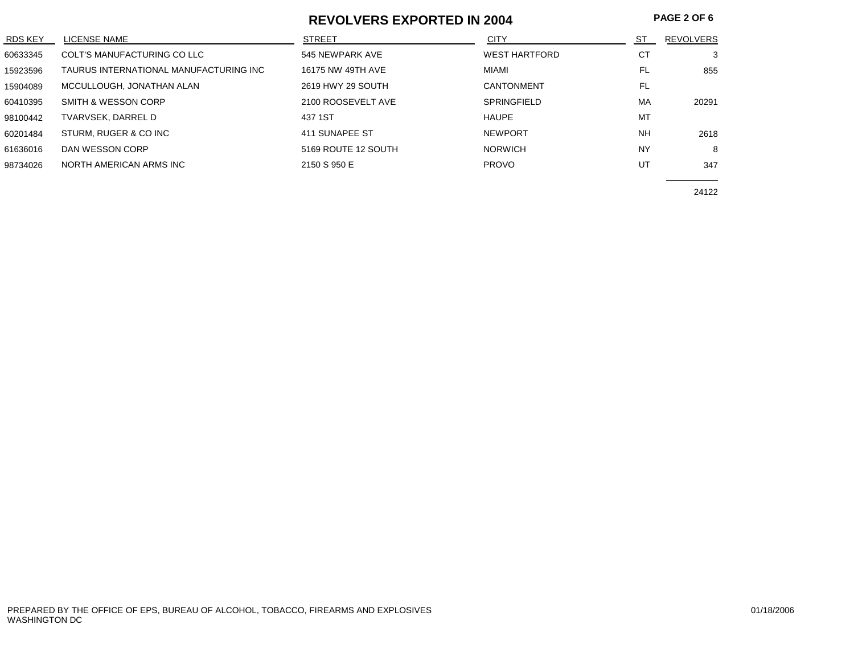#### **REVOLVERS EXPORTED IN 2004**

| <b>RDS KEY</b> | LICENSE NAME                           | <b>STREET</b>       | <b>CITY</b>          | ST        | <b>REVOLVERS</b> |
|----------------|----------------------------------------|---------------------|----------------------|-----------|------------------|
| 60633345       | COLT'S MANUFACTURING CO LLC            | 545 NEWPARK AVE     | <b>WEST HARTFORD</b> | СT        | 3                |
| 15923596       | TAURUS INTERNATIONAL MANUFACTURING INC | 16175 NW 49TH AVE   | MIAMI                | <b>FL</b> | 855              |
| 15904089       | MCCULLOUGH, JONATHAN ALAN              | 2619 HWY 29 SOUTH   | CANTONMENT           | FL        |                  |
| 60410395       | SMITH & WESSON CORP                    | 2100 ROOSEVELT AVE  | <b>SPRINGFIELD</b>   | MA        | 20291            |
| 98100442       | TVARVSEK, DARREL D                     | 437 1ST             | <b>HAUPE</b>         | MT        |                  |
| 60201484       | STURM, RUGER & CO INC                  | 411 SUNAPEE ST      | <b>NEWPORT</b>       | <b>NH</b> | 2618             |
| 61636016       | DAN WESSON CORP                        | 5169 ROUTE 12 SOUTH | <b>NORWICH</b>       | <b>NY</b> | 8                |
| 98734026       | NORTH AMERICAN ARMS INC                | 2150 S 950 E        | <b>PROVO</b>         | UT        | 347              |
|                |                                        |                     |                      |           |                  |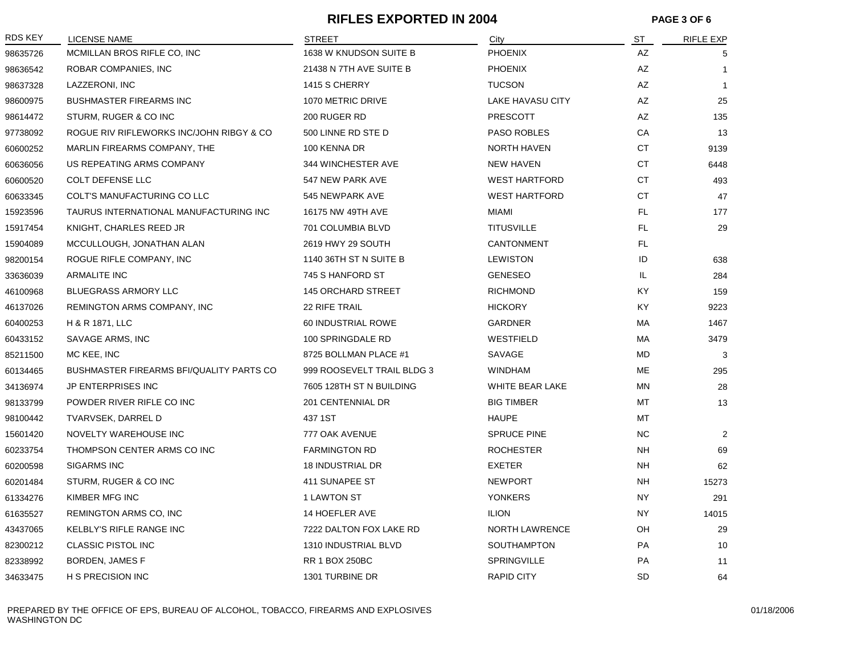## **RIFLES EXPORTED IN 2004 PAGE 3 OF 6**

| RDS KEY  | <b>LICENSE NAME</b>                             | <b>STREET</b>              | City                 | ST        | <b>RIFLE EXP</b> |
|----------|-------------------------------------------------|----------------------------|----------------------|-----------|------------------|
| 98635726 | MCMILLAN BROS RIFLE CO, INC                     | 1638 W KNUDSON SUITE B     | <b>PHOENIX</b>       | AZ        | 5                |
| 98636542 | ROBAR COMPANIES, INC                            | 21438 N 7TH AVE SUITE B    | <b>PHOENIX</b>       | AZ        | $\mathbf{1}$     |
| 98637328 | LAZZERONI, INC                                  | 1415 S CHERRY              | <b>TUCSON</b>        | AZ        | $\mathbf{1}$     |
| 98600975 | <b>BUSHMASTER FIREARMS INC</b>                  | 1070 METRIC DRIVE          | LAKE HAVASU CITY     | AZ        | 25               |
| 98614472 | STURM, RUGER & CO INC                           | 200 RUGER RD               | <b>PRESCOTT</b>      | AZ        | 135              |
| 97738092 | ROGUE RIV RIFLEWORKS INC/JOHN RIBGY & CO        | 500 LINNE RD STE D         | <b>PASO ROBLES</b>   | CA        | 13               |
| 60600252 | MARLIN FIREARMS COMPANY, THE                    | 100 KENNA DR               | NORTH HAVEN          | СT        | 9139             |
| 60636056 | US REPEATING ARMS COMPANY                       | 344 WINCHESTER AVE         | <b>NEW HAVEN</b>     | <b>CT</b> | 6448             |
| 60600520 | <b>COLT DEFENSE LLC</b>                         | 547 NEW PARK AVE           | <b>WEST HARTFORD</b> | СT        | 493              |
| 60633345 | COLT'S MANUFACTURING CO LLC                     | 545 NEWPARK AVE            | <b>WEST HARTFORD</b> | СT        | 47               |
| 15923596 | TAURUS INTERNATIONAL MANUFACTURING INC          | 16175 NW 49TH AVE          | <b>MIAMI</b>         | FL.       | 177              |
| 15917454 | KNIGHT, CHARLES REED JR                         | 701 COLUMBIA BLVD          | <b>TITUSVILLE</b>    | FL.       | 29               |
| 15904089 | MCCULLOUGH, JONATHAN ALAN                       | 2619 HWY 29 SOUTH          | CANTONMENT           | FL.       |                  |
| 98200154 | ROGUE RIFLE COMPANY, INC                        | 1140 36TH ST N SUITE B     | <b>LEWISTON</b>      | ID        | 638              |
| 33636039 | <b>ARMALITE INC</b>                             | 745 S HANFORD ST           | <b>GENESEO</b>       | IL        | 284              |
| 46100968 | <b>BLUEGRASS ARMORY LLC</b>                     | <b>145 ORCHARD STREET</b>  | <b>RICHMOND</b>      | KY        | 159              |
| 46137026 | REMINGTON ARMS COMPANY, INC                     | <b>22 RIFE TRAIL</b>       | <b>HICKORY</b>       | <b>KY</b> | 9223             |
| 60400253 | H & R 1871, LLC                                 | 60 INDUSTRIAL ROWE         | <b>GARDNER</b>       | MA        | 1467             |
| 60433152 | SAVAGE ARMS, INC                                | 100 SPRINGDALE RD          | WESTFIELD            | МA        | 3479             |
| 85211500 | MC KEE, INC                                     | 8725 BOLLMAN PLACE #1      | SAVAGE               | MD        | 3                |
| 60134465 | <b>BUSHMASTER FIREARMS BFI/QUALITY PARTS CO</b> | 999 ROOSEVELT TRAIL BLDG 3 | <b>WINDHAM</b>       | ME        | 295              |
| 34136974 | <b>JP ENTERPRISES INC</b>                       | 7605 128TH ST N BUILDING   | WHITE BEAR LAKE      | <b>MN</b> | 28               |
| 98133799 | POWDER RIVER RIFLE CO INC                       | 201 CENTENNIAL DR          | <b>BIG TIMBER</b>    | <b>MT</b> | 13               |
| 98100442 | <b>TVARVSEK, DARREL D</b>                       | 437 1ST                    | <b>HAUPE</b>         | MT        |                  |
| 15601420 | NOVELTY WAREHOUSE INC                           | 777 OAK AVENUE             | <b>SPRUCE PINE</b>   | <b>NC</b> | $\overline{2}$   |
| 60233754 | THOMPSON CENTER ARMS CO INC                     | <b>FARMINGTON RD</b>       | <b>ROCHESTER</b>     | <b>NH</b> | 69               |
| 60200598 | <b>SIGARMS INC</b>                              | <b>18 INDUSTRIAL DR</b>    | <b>EXETER</b>        | <b>NH</b> | 62               |
| 60201484 | STURM, RUGER & CO INC                           | 411 SUNAPEE ST             | <b>NEWPORT</b>       | <b>NH</b> | 15273            |
| 61334276 | KIMBER MFG INC                                  | 1 LAWTON ST                | <b>YONKERS</b>       | ΝY        | 291              |
| 61635527 | REMINGTON ARMS CO, INC                          | 14 HOEFLER AVE             | <b>ILION</b>         | <b>NY</b> | 14015            |
| 43437065 | KELBLY'S RIFLE RANGE INC                        | 7222 DALTON FOX LAKE RD    | NORTH LAWRENCE       | OH        | 29               |
| 82300212 | CLASSIC PISTOL INC                              | 1310 INDUSTRIAL BLVD       | <b>SOUTHAMPTON</b>   | PA        | 10               |
| 82338992 | <b>BORDEN, JAMES F</b>                          | <b>RR 1 BOX 250BC</b>      | SPRINGVILLE          | <b>PA</b> | 11               |
| 34633475 | H S PRECISION INC                               | 1301 TURBINE DR            | <b>RAPID CITY</b>    | SD        | 64               |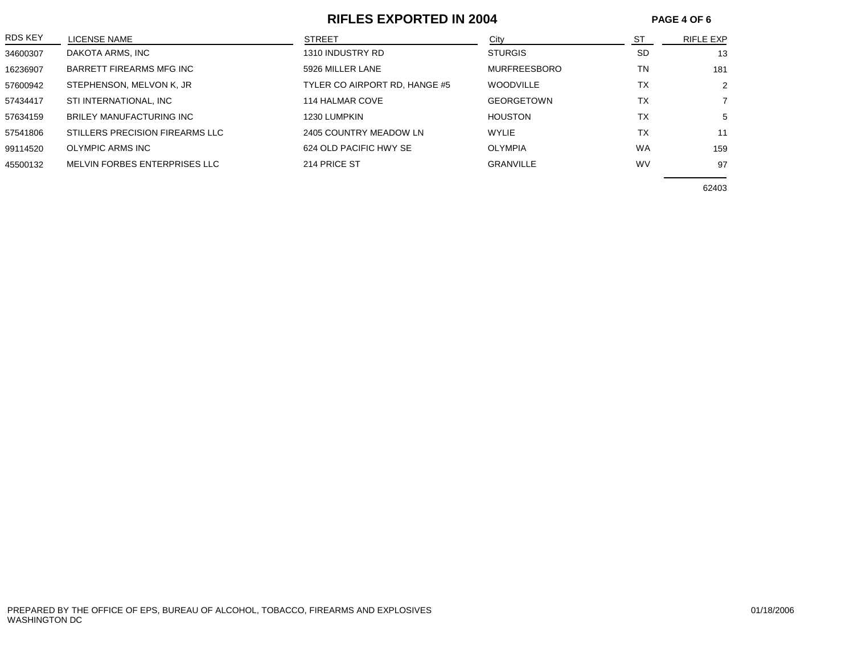### **RIFLES EXPORTED IN 2004 PAGE 4 OF 6**

| LICENSE NAME                    | <b>STREET</b>                 | City                | <b>ST</b> | RIFLE EXP      |
|---------------------------------|-------------------------------|---------------------|-----------|----------------|
| DAKOTA ARMS, INC                | 1310 INDUSTRY RD              | <b>STURGIS</b>      | <b>SD</b> | 13             |
| BARRETT FIREARMS MFG INC        | 5926 MILLER LANE              | <b>MURFREESBORO</b> | <b>TN</b> | 181            |
| STEPHENSON, MELVON K, JR        | TYLER CO AIRPORT RD, HANGE #5 | <b>WOODVILLE</b>    | <b>TX</b> | 2              |
| STI INTERNATIONAL, INC          | 114 HALMAR COVE               | <b>GEORGETOWN</b>   | <b>TX</b> | $\overline{7}$ |
| BRILEY MANUFACTURING INC        | 1230 LUMPKIN                  | <b>HOUSTON</b>      | ТX        | 5              |
| STILLERS PRECISION FIREARMS LLC | 2405 COUNTRY MEADOW LN        | <b>WYLIE</b>        | ТX        | 11             |
| OLYMPIC ARMS INC                | 624 OLD PACIFIC HWY SE        | <b>OLYMPIA</b>      | <b>WA</b> | 159            |
| MELVIN FORBES ENTERPRISES LLC   | 214 PRICE ST                  | <b>GRANVILLE</b>    | <b>WV</b> | 97             |
|                                 |                               |                     |           |                |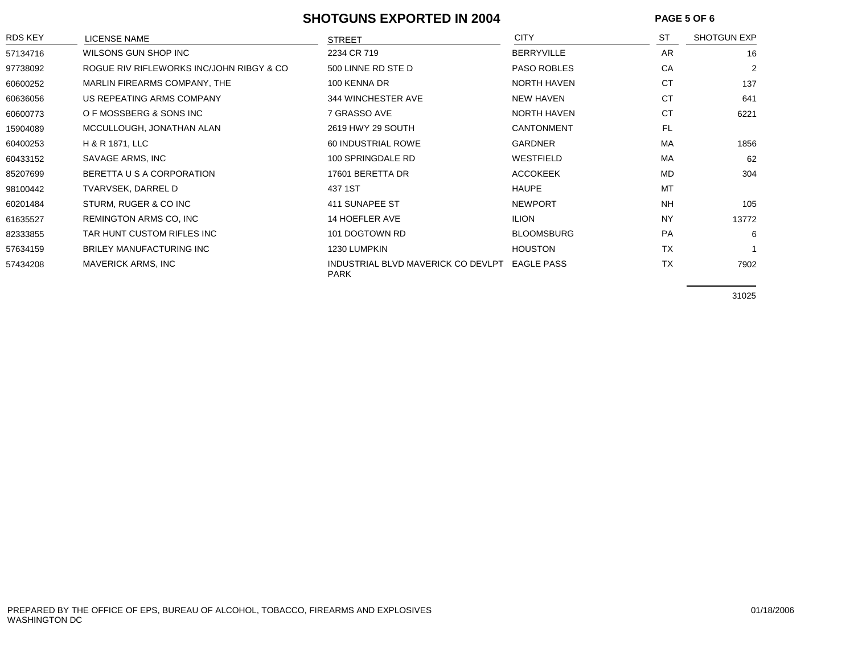#### **SHOTGUNS EXPORTED IN 2004 PAGE 5 OF 6**

| RDS KEY  | <b>LICENSE NAME</b>                      | <b>STREET</b>                                     | <b>CITY</b>        | <b>ST</b> | <b>SHOTGUN EXP</b> |
|----------|------------------------------------------|---------------------------------------------------|--------------------|-----------|--------------------|
| 57134716 | WILSONS GUN SHOP INC                     | 2234 CR 719                                       | <b>BERRYVILLE</b>  | <b>AR</b> | 16                 |
| 97738092 | ROGUE RIV RIFLEWORKS INC/JOHN RIBGY & CO | 500 LINNE RD STE D                                | <b>PASO ROBLES</b> | CA        | 2                  |
| 60600252 | MARLIN FIREARMS COMPANY, THE             | 100 KENNA DR                                      | <b>NORTH HAVEN</b> | <b>CT</b> | 137                |
| 60636056 | US REPEATING ARMS COMPANY                | 344 WINCHESTER AVE                                | <b>NEW HAVEN</b>   | <b>CT</b> | 641                |
| 60600773 | O F MOSSBERG & SONS INC                  | 7 GRASSO AVE                                      | <b>NORTH HAVEN</b> | <b>CT</b> | 6221               |
| 15904089 | MCCULLOUGH, JONATHAN ALAN                | 2619 HWY 29 SOUTH                                 | <b>CANTONMENT</b>  | <b>FL</b> |                    |
| 60400253 | H & R 1871, LLC                          | 60 INDUSTRIAL ROWE                                | <b>GARDNER</b>     | MA        | 1856               |
| 60433152 | SAVAGE ARMS, INC                         | 100 SPRINGDALE RD                                 | WESTFIELD          | MA        | 62                 |
| 85207699 | BERETTA U S A CORPORATION                | 17601 BERETTA DR                                  | <b>ACCOKEEK</b>    | MD        | 304                |
| 98100442 | TVARVSEK, DARREL D                       | 437 1ST                                           | <b>HAUPE</b>       | MT        |                    |
| 60201484 | STURM, RUGER & CO INC                    | 411 SUNAPEE ST                                    | <b>NEWPORT</b>     | <b>NH</b> | 105                |
| 61635527 | <b>REMINGTON ARMS CO, INC.</b>           | <b>14 HOEFLER AVE</b>                             | <b>ILION</b>       | <b>NY</b> | 13772              |
| 82333855 | TAR HUNT CUSTOM RIFLES INC               | 101 DOGTOWN RD                                    | <b>BLOOMSBURG</b>  | <b>PA</b> | 6                  |
| 57634159 | <b>BRILEY MANUFACTURING INC</b>          | 1230 LUMPKIN                                      | <b>HOUSTON</b>     | <b>TX</b> |                    |
| 57434208 | MAVERICK ARMS, INC                       | INDUSTRIAL BLVD MAVERICK CO DEVLPT<br><b>PARK</b> | <b>EAGLE PASS</b>  | <b>TX</b> | 7902               |